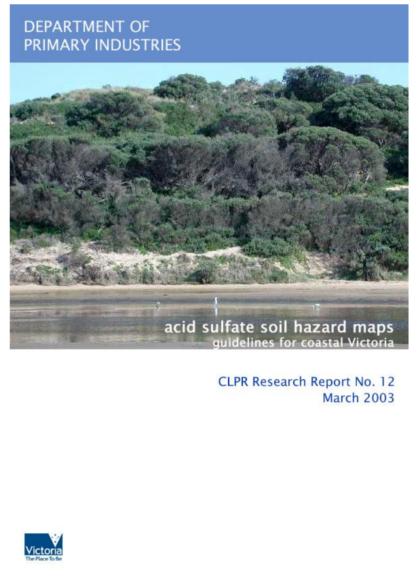# **DEPARTMENT OF** PRIMARY INDUSTRIES



**CLPR Research Report No. 12 March 2003** 

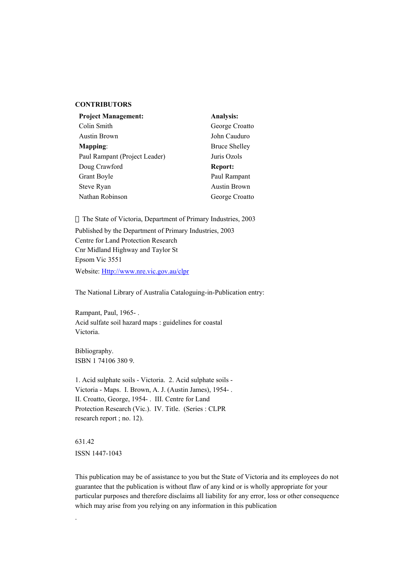#### **CONTRIBUTORS**

| <b>Project Management:</b>    | Analysis:            |
|-------------------------------|----------------------|
| Colin Smith                   | George Croatto       |
| <b>Austin Brown</b>           | John Cauduro         |
| Mapping:                      | <b>Bruce Shelley</b> |
| Paul Rampant (Project Leader) | Juris Ozols          |
| Doug Crawford                 | Report:              |
| Grant Boyle                   | Paul Rampant         |
| Steve Ryan                    | <b>Austin Brown</b>  |
| Nathan Robinson               | George Croatto       |

The State of Victoria, Department of Primary Industries, 2003

Published by the Department of Primary Industries, 2003 Centre for Land Protection Research Cnr Midland Highway and Taylor St Epsom Vic 3551 Website: Http://www.nre.vic.gov.au/clpr

The National Library of Australia Cataloguing-in-Publication entry:

Rampant, Paul, 1965- . Acid sulfate soil hazard maps : guidelines for coastal Victoria.

Bibliography. ISBN 1 74106 380 9.

1. Acid sulphate soils - Victoria. 2. Acid sulphate soils - Victoria - Maps. I. Brown, A. J. (Austin James), 1954- . II. Croatto, George, 1954- . III. Centre for Land Protection Research (Vic.). IV. Title. (Series : CLPR research report ; no. 12).

631.42 ISSN 1447-1043

.

This publication may be of assistance to you but the State of Victoria and its employees do not guarantee that the publication is without flaw of any kind or is wholly appropriate for your particular purposes and therefore disclaims all liability for any error, loss or other consequence which may arise from you relying on any information in this publication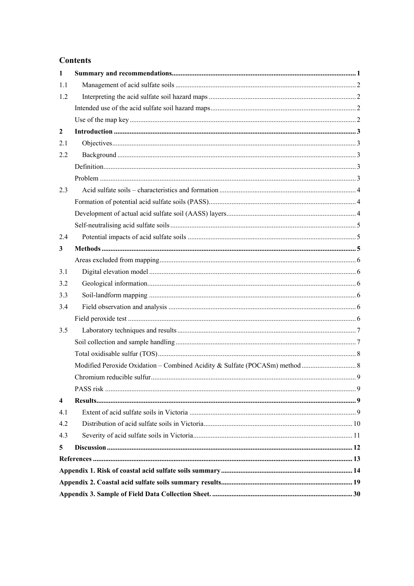## **Contents**

| $\mathbf{1}$            |  |
|-------------------------|--|
| 1.1                     |  |
| 1.2                     |  |
|                         |  |
|                         |  |
| $\overline{2}$          |  |
| 2.1                     |  |
| 2.2                     |  |
|                         |  |
|                         |  |
| 2.3                     |  |
|                         |  |
|                         |  |
|                         |  |
| 2.4                     |  |
| 3                       |  |
|                         |  |
| 3.1                     |  |
| 3.2                     |  |
| 3.3                     |  |
| 3.4                     |  |
|                         |  |
| 3.5                     |  |
|                         |  |
|                         |  |
|                         |  |
|                         |  |
|                         |  |
| $\overline{\mathbf{4}}$ |  |
| 4.1                     |  |
| 4.2                     |  |
| 4.3                     |  |
| 5                       |  |
|                         |  |
|                         |  |
|                         |  |
|                         |  |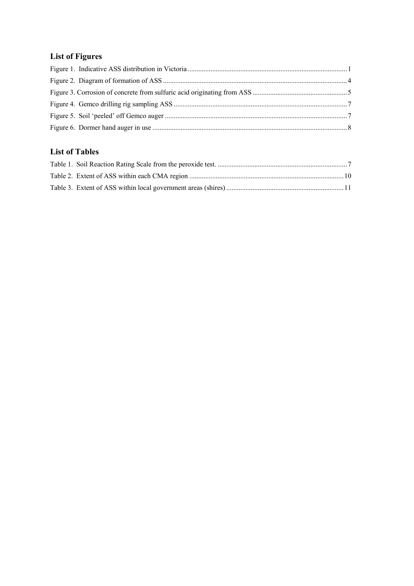## **List of Figures**

## **List of Tables**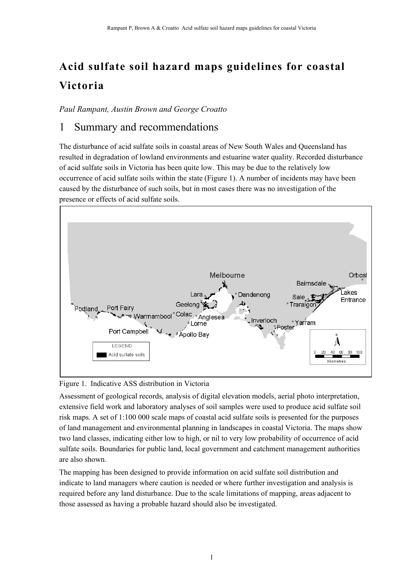# **Acid sulfate soil hazard maps guidelines for coastal Victoria**

*Paul Rampant, Austin Brown and George Croatto*

## 1 Summary and recommendations

The disturbance of acid sulfate soils in coastal areas of New South Wales and Queensland has resulted in degradation of lowland environments and estuarine water quality. Recorded disturbance of acid sulfate soils in Victoria has been quite low. This may be due to the relatively low occurrence of acid sulfate soils within the state (Figure 1). A number of incidents may have been caused by the disturbance of such soils, but in most cases there was no investigation of the presence or effects of acid sulfate soils.



Figure 1. Indicative ASS distribution in Victoria

Assessment of geological records, analysis of digital elevation models, aerial photo interpretation, extensive field work and laboratory analyses of soil samples were used to produce acid sulfate soil risk maps. A set of 1:100 000 scale maps of coastal acid sulfate soils is presented for the purposes of land management and environmental planning in landscapes in coastal Victoria. The maps show two land classes, indicating either low to high, or nil to very low probability of occurrence of acid sulfate soils. Boundaries for public land, local government and catchment management authorities are also shown.

The mapping has been designed to provide information on acid sulfate soil distribution and indicate to land managers where caution is needed or where further investigation and analysis is required before any land disturbance. Due to the scale limitations of mapping, areas adjacent to those assessed as having a probable hazard should also be investigated.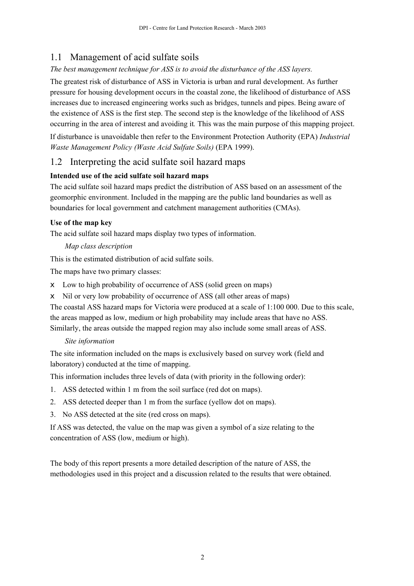## 1.1 Management of acid sulfate soils

## *The best management technique for ASS is to avoid the disturbance of the ASS layers.*

The greatest risk of disturbance of ASS in Victoria is urban and rural development. As further pressure for housing development occurs in the coastal zone, the likelihood of disturbance of ASS increases due to increased engineering works such as bridges, tunnels and pipes. Being aware of the existence of ASS is the first step. The second step is the knowledge of the likelihood of ASS occurring in the area of interest and avoiding it*.* This was the main purpose of this mapping project.

If disturbance is unavoidable then refer to the Environment Protection Authority (EPA) *Industrial Waste Management Policy (Waste Acid Sulfate Soils)* (EPA 1999).

## 1.2 Interpreting the acid sulfate soil hazard maps

#### **Intended use of the acid sulfate soil hazard maps**

The acid sulfate soil hazard maps predict the distribution of ASS based on an assessment of the geomorphic environment. Included in the mapping are the public land boundaries as well as boundaries for local government and catchment management authorities (CMAs).

#### **Use of the map key**

The acid sulfate soil hazard maps display two types of information.

#### *Map class description*

This is the estimated distribution of acid sulfate soils.

The maps have two primary classes:

- $\epsilon$  Low to high probability of occurrence of ASS (solid green on maps)
- $\epsilon$  Nil or very low probability of occurrence of ASS (all other areas of maps)

The coastal ASS hazard maps for Victoria were produced at a scale of 1:100 000. Due to this scale, the areas mapped as low, medium or high probability may include areas that have no ASS. Similarly, the areas outside the mapped region may also include some small areas of ASS.

#### *Site information*

The site information included on the maps is exclusively based on survey work (field and laboratory) conducted at the time of mapping.

This information includes three levels of data (with priority in the following order):

- 1. ASS detected within 1 m from the soil surface (red dot on maps).
- 2. ASS detected deeper than 1 m from the surface (yellow dot on maps).
- 3. No ASS detected at the site (red cross on maps).

If ASS was detected, the value on the map was given a symbol of a size relating to the concentration of ASS (low, medium or high).

The body of this report presents a more detailed description of the nature of ASS, the methodologies used in this project and a discussion related to the results that were obtained.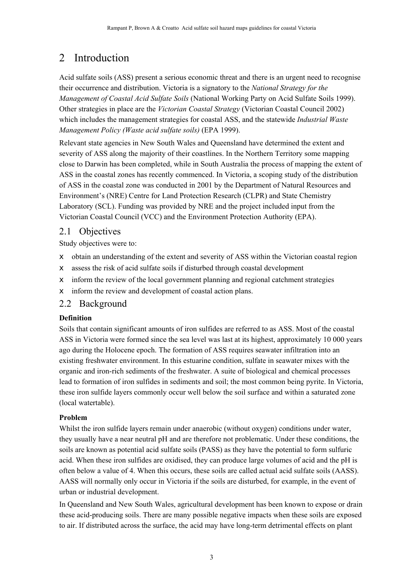## 2 Introduction

Acid sulfate soils (ASS) present a serious economic threat and there is an urgent need to recognise their occurrence and distribution. Victoria is a signatory to the *National Strategy for the Management of Coastal Acid Sulfate Soils* (National Working Party on Acid Sulfate Soils 1999). Other strategies in place are the *Victorian Coastal Strategy* (Victorian Coastal Council 2002) which includes the management strategies for coastal ASS, and the statewide *Industrial Waste Management Policy (Waste acid sulfate soils)* (EPA 1999).

Relevant state agencies in New South Wales and Queensland have determined the extent and severity of ASS along the majority of their coastlines. In the Northern Territory some mapping close to Darwin has been completed, while in South Australia the process of mapping the extent of ASS in the coastal zones has recently commenced. In Victoria, a scoping study of the distribution of ASS in the coastal zone was conducted in 2001 by the Department of Natural Resources and Environmentís (NRE) Centre for Land Protection Research (CLPR) and State Chemistry Laboratory (SCL). Funding was provided by NRE and the project included input from the Victorian Coastal Council (VCC) and the Environment Protection Authority (EPA).

## 2.1 Objectives

Study objectives were to:

- $\epsilon$  obtain an understanding of the extent and severity of ASS within the Victorian coastal region
- $\epsilon$  assess the risk of acid sulfate soils if disturbed through coastal development
- $\epsilon$  inform the review of the local government planning and regional catchment strategies
- $\neq$  inform the review and development of coastal action plans.

## 2.2 Background

#### **Definition**

Soils that contain significant amounts of iron sulfides are referred to as ASS. Most of the coastal ASS in Victoria were formed since the sea level was last at its highest, approximately 10 000 years ago during the Holocene epoch. The formation of ASS requires seawater infiltration into an existing freshwater environment. In this estuarine condition, sulfate in seawater mixes with the organic and iron-rich sediments of the freshwater. A suite of biological and chemical processes lead to formation of iron sulfides in sediments and soil; the most common being pyrite. In Victoria, these iron sulfide layers commonly occur well below the soil surface and within a saturated zone (local watertable).

## **Problem**

Whilst the iron sulfide layers remain under anaerobic (without oxygen) conditions under water, they usually have a near neutral pH and are therefore not problematic. Under these conditions, the soils are known as potential acid sulfate soils (PASS) as they have the potential to form sulfuric acid. When these iron sulfides are oxidised, they can produce large volumes of acid and the pH is often below a value of 4. When this occurs, these soils are called actual acid sulfate soils (AASS). AASS will normally only occur in Victoria if the soils are disturbed, for example, in the event of urban or industrial development.

In Queensland and New South Wales, agricultural development has been known to expose or drain these acid-producing soils. There are many possible negative impacts when these soils are exposed to air. If distributed across the surface, the acid may have long-term detrimental effects on plant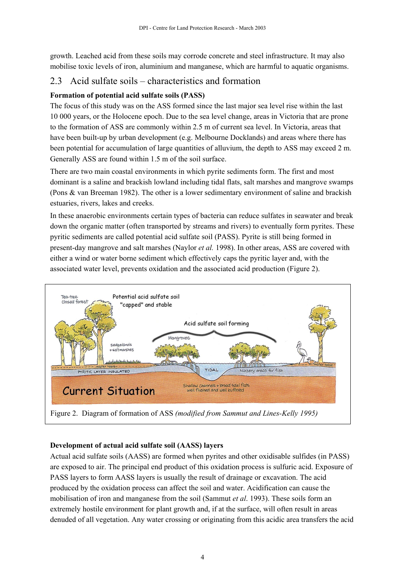growth. Leached acid from these soils may corrode concrete and steel infrastructure. It may also mobilise toxic levels of iron, aluminium and manganese, which are harmful to aquatic organisms.

## 2.3 Acid sulfate soils  $-\alpha$  characteristics and formation

## **Formation of potential acid sulfate soils (PASS)**

The focus of this study was on the ASS formed since the last major sea level rise within the last 10 000 years, or the Holocene epoch. Due to the sea level change, areas in Victoria that are prone to the formation of ASS are commonly within 2.5 m of current sea level. In Victoria, areas that have been built-up by urban development (e.g. Melbourne Docklands) and areas where there has been potential for accumulation of large quantities of alluvium, the depth to ASS may exceed 2 m. Generally ASS are found within 1.5 m of the soil surface.

There are two main coastal environments in which pyrite sediments form. The first and most dominant is a saline and brackish lowland including tidal flats, salt marshes and mangrove swamps (Pons & van Breeman 1982). The other is a lower sedimentary environment of saline and brackish estuaries, rivers, lakes and creeks.

In these anaerobic environments certain types of bacteria can reduce sulfates in seawater and break down the organic matter (often transported by streams and rivers) to eventually form pyrites. These pyritic sediments are called potential acid sulfate soil (PASS). Pyrite is still being formed in present-day mangrove and salt marshes (Naylor *et al.* 1998). In other areas, ASS are covered with either a wind or water borne sediment which effectively caps the pyritic layer and, with the associated water level, prevents oxidation and the associated acid production (Figure 2).



## **Development of actual acid sulfate soil (AASS) layers**

Actual acid sulfate soils (AASS) are formed when pyrites and other oxidisable sulfides (in PASS) are exposed to air. The principal end product of this oxidation process is sulfuric acid. Exposure of PASS layers to form AASS layers is usually the result of drainage or excavation. The acid produced by the oxidation process can affect the soil and water. Acidification can cause the mobilisation of iron and manganese from the soil (Sammut *et al*. 1993). These soils form an extremely hostile environment for plant growth and, if at the surface, will often result in areas denuded of all vegetation. Any water crossing or originating from this acidic area transfers the acid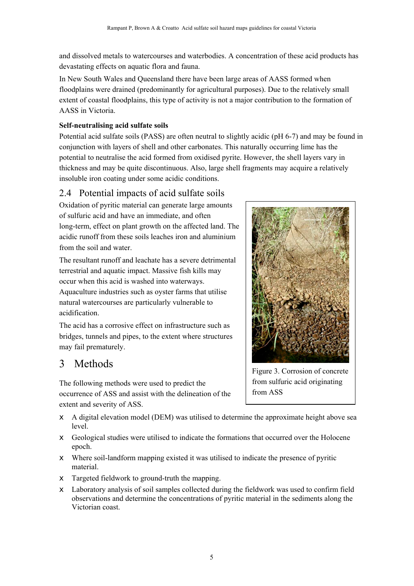and dissolved metals to watercourses and waterbodies. A concentration of these acid products has devastating effects on aquatic flora and fauna.

In New South Wales and Queensland there have been large areas of AASS formed when floodplains were drained (predominantly for agricultural purposes). Due to the relatively small extent of coastal floodplains, this type of activity is not a major contribution to the formation of AASS in Victoria.

#### **Self-neutralising acid sulfate soils**

Potential acid sulfate soils (PASS) are often neutral to slightly acidic (pH 6-7) and may be found in conjunction with layers of shell and other carbonates. This naturally occurring lime has the potential to neutralise the acid formed from oxidised pyrite. However, the shell layers vary in thickness and may be quite discontinuous. Also, large shell fragments may acquire a relatively insoluble iron coating under some acidic conditions.

## 2.4 Potential impacts of acid sulfate soils

Oxidation of pyritic material can generate large amounts of sulfuric acid and have an immediate, and often long-term, effect on plant growth on the affected land. The acidic runoff from these soils leaches iron and aluminium from the soil and water.

The resultant runoff and leachate has a severe detrimental terrestrial and aquatic impact. Massive fish kills may occur when this acid is washed into waterways. Aquaculture industries such as oyster farms that utilise natural watercourses are particularly vulnerable to acidification.

The acid has a corrosive effect on infrastructure such as bridges, tunnels and pipes, to the extent where structures may fail prematurely.

## 3 Methods

The following methods were used to predict the occurrence of ASS and assist with the delineation of the extent and severity of ASS.

- $\epsilon$  A digital elevation model (DEM) was utilised to determine the approximate height above sea level.
- $\epsilon$  Geological studies were utilised to indicate the formations that occurred over the Holocene epoch.
- $\epsilon$  Where soil-landform mapping existed it was utilised to indicate the presence of pyritic material.
- $\epsilon$  Targeted fieldwork to ground-truth the mapping.
- $\epsilon$  Laboratory analysis of soil samples collected during the fieldwork was used to confirm field observations and determine the concentrations of pyritic material in the sediments along the Victorian coast.



Figure 3. Corrosion of concrete from sulfuric acid originating from ASS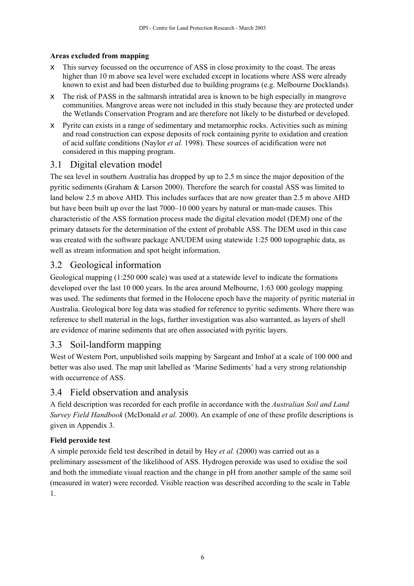## **Areas excluded from mapping**

- $\epsilon$  This survey focussed on the occurrence of ASS in close proximity to the coast. The areas higher than 10 m above sea level were excluded except in locations where ASS were already known to exist and had been disturbed due to building programs (e.g. Melbourne Docklands).
- $\epsilon$  The risk of PASS in the saltmarsh intratidal area is known to be high especially in mangrove communities. Mangrove areas were not included in this study because they are protected under the Wetlands Conservation Program and are therefore not likely to be disturbed or developed.
- $\epsilon$  Pyrite can exists in a range of sedimentary and metamorphic rocks. Activities such as mining and road construction can expose deposits of rock containing pyrite to oxidation and creation of acid sulfate conditions (Naylor *et al.* 1998). These sources of acidification were not considered in this mapping program.

## 3.1 Digital elevation model

The sea level in southern Australia has dropped by up to 2.5 m since the major deposition of the pyritic sediments (Graham & Larson 2000). Therefore the search for coastal ASS was limited to land below 2.5 m above AHD. This includes surfaces that are now greater than 2.5 m above AHD but have been built up over the last 7000–10 000 years by natural or man-made causes. This characteristic of the ASS formation process made the digital elevation model (DEM) one of the primary datasets for the determination of the extent of probable ASS. The DEM used in this case was created with the software package ANUDEM using statewide 1:25 000 topographic data, as well as stream information and spot height information.

## 3.2 Geological information

Geological mapping (1:250 000 scale) was used at a statewide level to indicate the formations developed over the last 10 000 years. In the area around Melbourne, 1:63 000 geology mapping was used. The sediments that formed in the Holocene epoch have the majority of pyritic material in Australia. Geological bore log data was studied for reference to pyritic sediments. Where there was reference to shell material in the logs, further investigation was also warranted, as layers of shell are evidence of marine sediments that are often associated with pyritic layers.

## 3.3 Soil-landform mapping

West of Western Port, unpublished soils mapping by Sargeant and Imhof at a scale of 100 000 and better was also used. The map unit labelled as 'Marine Sediments' had a very strong relationship with occurrence of ASS.

## 3.4 Field observation and analysis

A field description was recorded for each profile in accordance with the *Australian Soil and Land Survey Field Handbook* (McDonald *et al.* 2000). An example of one of these profile descriptions is given in Appendix 3.

## **Field peroxide test**

A simple peroxide field test described in detail by Hey *et al.* (2000) was carried out as a preliminary assessment of the likelihood of ASS. Hydrogen peroxide was used to oxidise the soil and both the immediate visual reaction and the change in pH from another sample of the same soil (measured in water) were recorded. Visible reaction was described according to the scale in Table 1.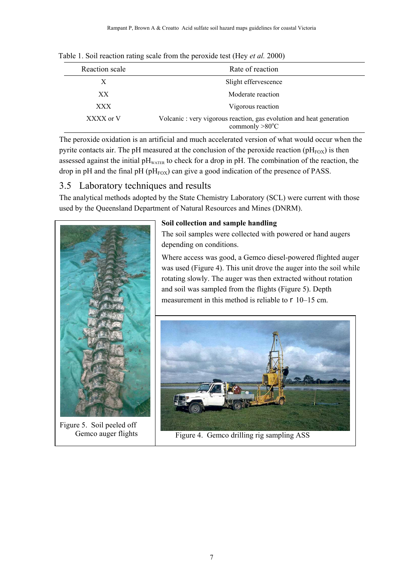| Reaction scale | Rate of reaction                                                                                 |
|----------------|--------------------------------------------------------------------------------------------------|
| X              | Slight effervescence                                                                             |
| XX             | Moderate reaction                                                                                |
| XXX            | Vigorous reaction                                                                                |
| XXXX or V      | Volcanic : very vigorous reaction, gas evolution and heat generation<br>commonly $>80^{\circ}$ C |

Table 1. Soil reaction rating scale from the peroxide test (Hey *et al.* 2000)

The peroxide oxidation is an artificial and much accelerated version of what would occur when the pyrite contacts air. The pH measured at the conclusion of the peroxide reaction ( $pH_{FOX}$ ) is then assessed against the initial  $pH_{\text{wATER}}$  to check for a drop in  $pH$ . The combination of the reaction, the drop in pH and the final pH ( $pH<sub>FOX</sub>$ ) can give a good indication of the presence of PASS.

## 3.5 Laboratory techniques and results

The analytical methods adopted by the State Chemistry Laboratory (SCL) were current with those used by the Queensland Department of Natural Resources and Mines (DNRM).



Figure 5. Soil peeled off Gemco auger flights

#### **Soil collection and sample handling**

The soil samples were collected with powered or hand augers depending on conditions.

Where access was good, a Gemco diesel-powered flighted auger was used (Figure 4). This unit drove the auger into the soil while rotating slowly. The auger was then extracted without rotation and soil was sampled from the flights (Figure 5). Depth measurement in this method is reliable to  $\partial$  10–15 cm.



Figure 4. Gemco drilling rig sampling ASS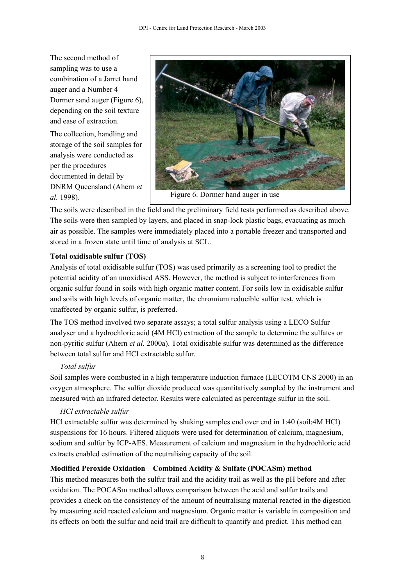The second method of sampling was to use a combination of a Jarret hand auger and a Number 4 Dormer sand auger (Figure 6), depending on the soil texture and ease of extraction.

The collection, handling and storage of the soil samples for analysis were conducted as per the procedures documented in detail by DNRM Queensland (Ahern *et al.* 1998).



The soils were described in the field and the preliminary field tests performed as described above. The soils were then sampled by layers, and placed in snap-lock plastic bags, evacuating as much air as possible. The samples were immediately placed into a portable freezer and transported and stored in a frozen state until time of analysis at SCL.

#### **Total oxidisable sulfur (TOS)**

Analysis of total oxidisable sulfur (TOS) was used primarily as a screening tool to predict the potential acidity of an unoxidised ASS. However, the method is subject to interferences from organic sulfur found in soils with high organic matter content. For soils low in oxidisable sulfur and soils with high levels of organic matter, the chromium reducible sulfur test, which is unaffected by organic sulfur, is preferred.

The TOS method involved two separate assays; a total sulfur analysis using a LECO Sulfur analyser and a hydrochloric acid (4M HCl) extraction of the sample to determine the sulfates or non-pyritic sulfur (Ahern *et al.* 2000a). Total oxidisable sulfur was determined as the difference between total sulfur and HCl extractable sulfur.

## *Total sulfur*

Soil samples were combusted in a high temperature induction furnace (LECOTM CNS 2000) in an oxygen atmosphere. The sulfur dioxide produced was quantitatively sampled by the instrument and measured with an infrared detector. Results were calculated as percentage sulfur in the soil.

#### *HCl extractable sulfur*

HCl extractable sulfur was determined by shaking samples end over end in 1:40 (soil:4M HCl) suspensions for 16 hours. Filtered aliquots were used for determination of calcium, magnesium, sodium and sulfur by ICP-AES. Measurement of calcium and magnesium in the hydrochloric acid extracts enabled estimation of the neutralising capacity of the soil.

#### **Modified Peroxide Oxidation ñ Combined Acidity & Sulfate (POCASm) method**

This method measures both the sulfur trail and the acidity trail as well as the pH before and after oxidation. The POCASm method allows comparison between the acid and sulfur trails and provides a check on the consistency of the amount of neutralising material reacted in the digestion by measuring acid reacted calcium and magnesium. Organic matter is variable in composition and its effects on both the sulfur and acid trail are difficult to quantify and predict. This method can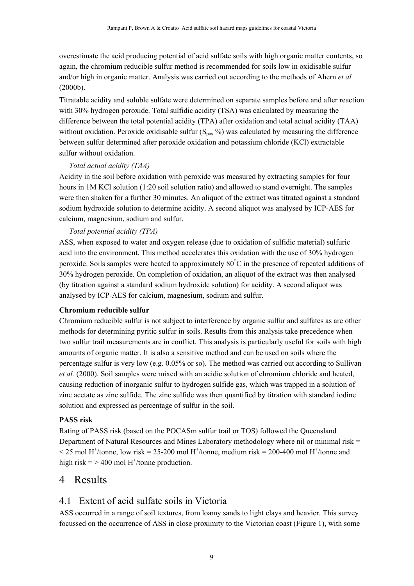overestimate the acid producing potential of acid sulfate soils with high organic matter contents, so again, the chromium reducible sulfur method is recommended for soils low in oxidisable sulfur and/or high in organic matter. Analysis was carried out according to the methods of Ahern *et al.* (2000b).

Titratable acidity and soluble sulfate were determined on separate samples before and after reaction with 30% hydrogen peroxide. Total sulfidic acidity (TSA) was calculated by measuring the difference between the total potential acidity (TPA) after oxidation and total actual acidity (TAA) without oxidation. Peroxide oxidisable sulfur  $(S_{pos} % )$  was calculated by measuring the difference between sulfur determined after peroxide oxidation and potassium chloride (KCl) extractable sulfur without oxidation.

#### *Total actual acidity (TAA)*

Acidity in the soil before oxidation with peroxide was measured by extracting samples for four hours in 1M KCl solution (1:20 soil solution ratio) and allowed to stand overnight. The samples were then shaken for a further 30 minutes. An aliquot of the extract was titrated against a standard sodium hydroxide solution to determine acidity. A second aliquot was analysed by ICP-AES for calcium, magnesium, sodium and sulfur.

#### *Total potential acidity (TPA)*

ASS, when exposed to water and oxygen release (due to oxidation of sulfidic material) sulfuric acid into the environment. This method accelerates this oxidation with the use of 30% hydrogen peroxide. Soils samples were heated to approximately  $80^{\circ}$ C in the presence of repeated additions of 30% hydrogen peroxide. On completion of oxidation, an aliquot of the extract was then analysed (by titration against a standard sodium hydroxide solution) for acidity. A second aliquot was analysed by ICP-AES for calcium, magnesium, sodium and sulfur.

#### **Chromium reducible sulfur**

Chromium reducible sulfur is not subject to interference by organic sulfur and sulfates as are other methods for determining pyritic sulfur in soils. Results from this analysis take precedence when two sulfur trail measurements are in conflict. This analysis is particularly useful for soils with high amounts of organic matter. It is also a sensitive method and can be used on soils where the percentage sulfur is very low (e.g. 0.05% or so). The method was carried out according to Sullivan *et al.* (2000). Soil samples were mixed with an acidic solution of chromium chloride and heated, causing reduction of inorganic sulfur to hydrogen sulfide gas, which was trapped in a solution of zinc acetate as zinc sulfide. The zinc sulfide was then quantified by titration with standard iodine solution and expressed as percentage of sulfur in the soil.

#### **PASS risk**

Rating of PASS risk (based on the POCASm sulfur trail or TOS) followed the Queensland Department of Natural Resources and Mines Laboratory methodology where nil or minimal risk =  $\leq$  25 mol H<sup>+</sup>/tonne, low risk = 25-200 mol H<sup>+</sup>/tonne, medium risk = 200-400 mol H<sup>+</sup>/tonne and high risk  $=$  > 400 mol H<sup>+</sup>/tonne production.

## 4 Results

## 4.1 Extent of acid sulfate soils in Victoria

ASS occurred in a range of soil textures, from loamy sands to light clays and heavier. This survey focussed on the occurrence of ASS in close proximity to the Victorian coast (Figure 1), with some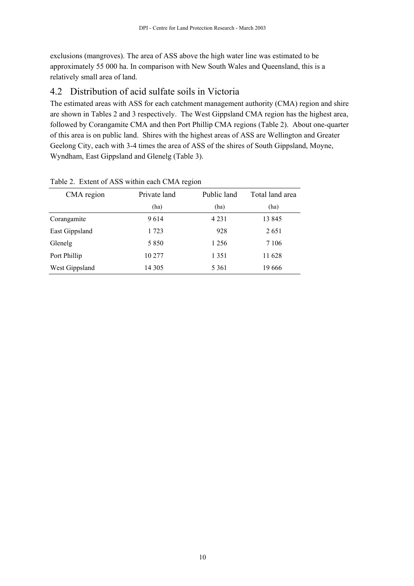exclusions (mangroves). The area of ASS above the high water line was estimated to be approximately 55 000 ha. In comparison with New South Wales and Queensland, this is a relatively small area of land.

## 4.2 Distribution of acid sulfate soils in Victoria

The estimated areas with ASS for each catchment management authority (CMA) region and shire are shown in Tables 2 and 3 respectively. The West Gippsland CMA region has the highest area, followed by Corangamite CMA and then Port Phillip CMA regions (Table 2). About one-quarter of this area is on public land. Shires with the highest areas of ASS are Wellington and Greater Geelong City, each with 3-4 times the area of ASS of the shires of South Gippsland, Moyne, Wyndham, East Gippsland and Glenelg (Table 3).

| CMA region     | Private land | Public land | Total land area |
|----------------|--------------|-------------|-----------------|
|                | (ha)         | (ha)        | (ha)            |
| Corangamite    | 9614         | 4 2 3 1     | 13845           |
| East Gippsland | 1 723        | 928         | 2651            |
| Glenelg        | 5 8 5 0      | 1 2 5 6     | 7 1 0 6         |
| Port Phillip   | 10 277       | 1 3 5 1     | 11 628          |
| West Gippsland | 14 3 0 5     | 5 3 6 1     | 19 666          |

#### Table 2. Extent of ASS within each CMA region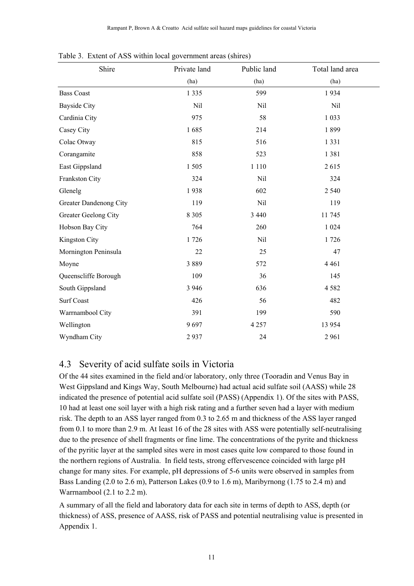| Shire                  | Private land | Public land | Total land area |
|------------------------|--------------|-------------|-----------------|
|                        | (ha)         | (ha)        | (ha)            |
| <b>Bass Coast</b>      | 1 3 3 5      | 599         | 1934            |
| <b>Bayside City</b>    | Nil          | Nil         | Nil             |
| Cardinia City          | 975          | 58          | 1 0 3 3         |
| Casey City             | 1685         | 214         | 1899            |
| Colac Otway            | 815          | 516         | 1 3 3 1         |
| Corangamite            | 858          | 523         | 1381            |
| East Gippsland         | 1505         | 1 1 1 0     | 2615            |
| Frankston City         | 324          | Nil         | 324             |
| Glenelg                | 1938         | 602         | 2 5 4 0         |
| Greater Dandenong City | 119          | Nil         | 119             |
| Greater Geelong City   | 8 3 0 5      | 3 4 4 0     | 11 745          |
| Hobson Bay City        | 764          | 260         | 1 0 2 4         |
| Kingston City          | 1726         | Nil         | 1726            |
| Mornington Peninsula   | 22           | 25          | 47              |
| Moyne                  | 3889         | 572         | 4 4 6 1         |
| Queenscliffe Borough   | 109          | 36          | 145             |
| South Gippsland        | 3 9 4 6      | 636         | 4582            |
| <b>Surf Coast</b>      | 426          | 56          | 482             |
| Warrnambool City       | 391          | 199         | 590             |
| Wellington             | 9697         | 4 2 5 7     | 13 9 54         |
| Wyndham City           | 2937         | 24          | 2961            |

Table 3. Extent of ASS within local government areas (shires)

## 4.3 Severity of acid sulfate soils in Victoria

Of the 44 sites examined in the field and/or laboratory, only three (Tooradin and Venus Bay in West Gippsland and Kings Way, South Melbourne) had actual acid sulfate soil (AASS) while 28 indicated the presence of potential acid sulfate soil (PASS) (Appendix 1). Of the sites with PASS, 10 had at least one soil layer with a high risk rating and a further seven had a layer with medium risk. The depth to an ASS layer ranged from 0.3 to 2.65 m and thickness of the ASS layer ranged from 0.1 to more than 2.9 m. At least 16 of the 28 sites with ASS were potentially self-neutralising due to the presence of shell fragments or fine lime. The concentrations of the pyrite and thickness of the pyritic layer at the sampled sites were in most cases quite low compared to those found in the northern regions of Australia. In field tests, strong effervescence coincided with large pH change for many sites. For example, pH depressions of 5-6 units were observed in samples from Bass Landing (2.0 to 2.6 m), Patterson Lakes (0.9 to 1.6 m), Maribyrnong (1.75 to 2.4 m) and Warrnambool (2.1 to 2.2 m).

A summary of all the field and laboratory data for each site in terms of depth to ASS, depth (or thickness) of ASS, presence of AASS, risk of PASS and potential neutralising value is presented in Appendix 1.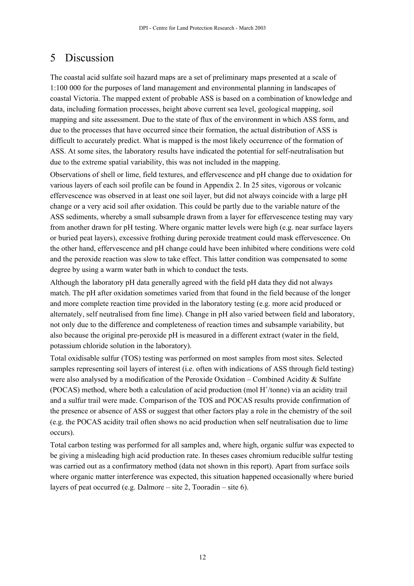## 5 Discussion

The coastal acid sulfate soil hazard maps are a set of preliminary maps presented at a scale of 1:100 000 for the purposes of land management and environmental planning in landscapes of coastal Victoria. The mapped extent of probable ASS is based on a combination of knowledge and data, including formation processes, height above current sea level, geological mapping, soil mapping and site assessment. Due to the state of flux of the environment in which ASS form, and due to the processes that have occurred since their formation, the actual distribution of ASS is difficult to accurately predict. What is mapped is the most likely occurrence of the formation of ASS. At some sites, the laboratory results have indicated the potential for self-neutralisation but due to the extreme spatial variability, this was not included in the mapping.

Observations of shell or lime, field textures, and effervescence and pH change due to oxidation for various layers of each soil profile can be found in Appendix 2. In 25 sites, vigorous or volcanic effervescence was observed in at least one soil layer, but did not always coincide with a large pH change or a very acid soil after oxidation. This could be partly due to the variable nature of the ASS sediments, whereby a small subsample drawn from a layer for effervescence testing may vary from another drawn for pH testing. Where organic matter levels were high (e.g. near surface layers or buried peat layers), excessive frothing during peroxide treatment could mask effervescence. On the other hand, effervescence and pH change could have been inhibited where conditions were cold and the peroxide reaction was slow to take effect. This latter condition was compensated to some degree by using a warm water bath in which to conduct the tests.

Although the laboratory pH data generally agreed with the field pH data they did not always match. The pH after oxidation sometimes varied from that found in the field because of the longer and more complete reaction time provided in the laboratory testing (e.g. more acid produced or alternately, self neutralised from fine lime). Change in pH also varied between field and laboratory, not only due to the difference and completeness of reaction times and subsample variability, but also because the original pre-peroxide pH is measured in a different extract (water in the field, potassium chloride solution in the laboratory).

Total oxidisable sulfur (TOS) testing was performed on most samples from most sites. Selected samples representing soil layers of interest (i.e. often with indications of ASS through field testing) were also analysed by a modification of the Peroxide Oxidation – Combined Acidity  $\&$  Sulfate (POCAS) method, where both a calculation of acid production (mol  $H^+$ /tonne) via an acidity trail and a sulfur trail were made. Comparison of the TOS and POCAS results provide confirmation of the presence or absence of ASS or suggest that other factors play a role in the chemistry of the soil (e.g. the POCAS acidity trail often shows no acid production when self neutralisation due to lime occurs).

Total carbon testing was performed for all samples and, where high, organic sulfur was expected to be giving a misleading high acid production rate. In theses cases chromium reducible sulfur testing was carried out as a confirmatory method (data not shown in this report). Apart from surface soils where organic matter interference was expected, this situation happened occasionally where buried layers of peat occurred (e.g. Dalmore  $-$  site 2, Tooradin  $-$  site 6).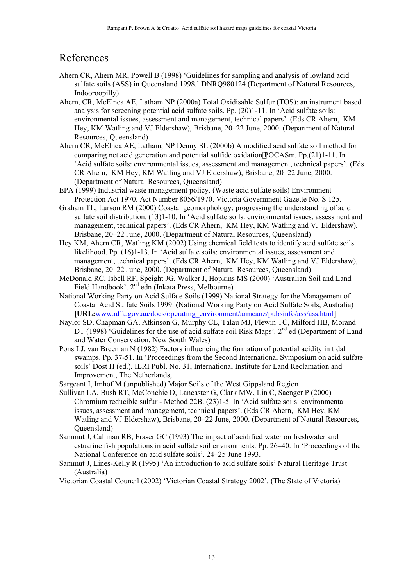## References

- Ahern CR, Ahern MR, Powell B (1998) 'Guidelines for sampling and analysis of lowland acid sulfate soils (ASS) in Queensland 1998.' DNRQ980124 (Department of Natural Resources, Indooroopilly)
- Ahern, CR, McElnea AE, Latham NP (2000a) Total Oxidisable Sulfur (TOS): an instrument based analysis for screening potential acid sulfate soils. Pp. (20)1-11. In 'Acid sulfate soils: environmental issues, assessment and management, technical papers<sup>7</sup>. (Eds CR Ahern, KM Hey, KM Watling and VJ Eldershaw), Brisbane, 20–22 June, 2000. (Department of Natural Resources, Queensland)
- Ahern CR, McElnea AE, Latham, NP Denny SL (2000b) A modified acid sulfate soil method for comparing net acid generation and potential sulfide oxidationPOCASm. Pp.(21)1-11. In Acid sulfate soils: environmental issues, assessment and management, technical papers'. (Eds CR Ahern, KM Hey, KM Watling and VJ Eldershaw), Brisbane, 20–22 June, 2000. (Department of Natural Resources, Queensland)
- EPA (1999) Industrial waste management policy. (Waste acid sulfate soils) Environment Protection Act 1970. Act Number 8056/1970. Victoria Government Gazette No. S 125.
- Graham TL, Larson RM (2000) Coastal geomorphology: progressing the understanding of acid sulfate soil distribution. (13)1-10. In 'Acid sulfate soils: environmental issues, assessment and management, technical papers'. (Eds CR Ahern, KM Hey, KM Watling and VJ Eldershaw), Brisbane, 20–22 June, 2000. (Department of Natural Resources, Queensland)
- Hey KM, Ahern CR, Watling KM (2002) Using chemical field tests to identify acid sulfate soils likelihood. Pp. (16)1-13. In 'Acid sulfate soils: environmental issues, assessment and management, technical papers'. (Eds CR Ahern, KM Hey, KM Watling and VJ Eldershaw), Brisbane, 20–22 June, 2000. (Department of Natural Resources, Queensland)
- McDonald RC, Isbell RF, Speight JG, Walker J, Hopkins MS (2000) 'Australian Soil and Land Field Handbook'. 2<sup>nd</sup> edn (Inkata Press, Melbourne)
- National Working Party on Acid Sulfate Soils (1999) National Strategy for the Management of Coastal Acid Sulfate Soils 1999. **(**National Working Party on Acid Sulfate Soils, Australia) **[URL:**www.affa.gov.au/docs/operating\_environment/armcanz/pubsinfo/ass/ass.html**]**
- Naylor SD, Chapman GA, Atkinson G, Murphy CL, Talau MJ, Flewin TC, Milford HB, Morand DT (1998) 'Guidelines for the use of acid sulfate soil Risk Maps'. 2<sup>nd</sup> ed (Department of Land and Water Conservation, New South Wales)
- Pons LJ, van Breeman N (1982) Factors influencing the formation of potential acidity in tidal swamps. Pp. 37-51. In ëProceedings from the Second International Symposium on acid sulfate soils' Dost H (ed.), ILRI Publ. No. 31, International Institute for Land Reclamation and Improvement, The Netherlands,.
- Sargeant I, Imhof M (unpublished) Major Soils of the West Gippsland Region
- Sullivan LA, Bush RT, McConchie D, Lancaster G, Clark MW, Lin C, Saenger P (2000) Chromium reducible sulfur - Method 22B. (23)1-5. In ëAcid sulfate soils: environmental issues, assessment and management, technical papers'. (Eds CR Ahern, KM Hey, KM Watling and VJ Eldershaw), Brisbane, 20–22 June, 2000. (Department of Natural Resources, Queensland)
- Sammut J, Callinan RB, Fraser GC (1993) The impact of acidified water on freshwater and estuarine fish populations in acid sulfate soil environments. Pp.  $26-40$ . In 'Proceedings of the National Conference on acid sulfate soils'. 24–25 June 1993.
- Sammut J, Lines-Kelly R (1995) 'An introduction to acid sulfate soils' Natural Heritage Trust (Australia)
- Victorian Coastal Council (2002) ëVictorian Coastal Strategy 2002í*.* (The State of Victoria)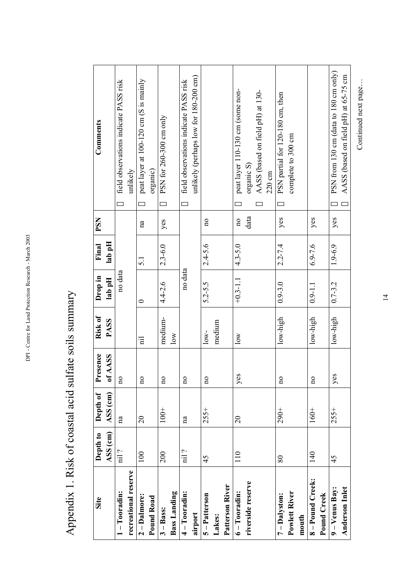Appendix 1. Risk of coastal acid sulfate soils summary Appendix 1. Risk of coastal acid sulfate soils summary

| Site                  | Depth to               | Depth of       | Presence | Risk of                 | Drop in      | Final            | <b>PSN</b>              | Comments                                   |
|-----------------------|------------------------|----------------|----------|-------------------------|--------------|------------------|-------------------------|--------------------------------------------|
|                       | ASS (cm)               | ASS (cm)       | of AASS  | <b>PASS</b>             | lab pH       | lab pH           |                         |                                            |
| $1 - Tooradin:$       | $\operatorname{nil}$ ? | na             | ă        |                         | no data      |                  |                         | field observations indicate PASS risk<br>š |
| recreational reserve  |                        |                |          |                         |              |                  |                         | unlikely                                   |
| $2 - D$ almore:       | 100                    | $\overline{c}$ | $\Xi$    | $\overline{\mathbf{H}}$ | $\circ$      | $\overline{5}$ . | na                      | peat layer at 100-120 cm (S is mainly<br>š |
| Pound Road            |                        |                |          |                         |              |                  |                         | organic)                                   |
| $3 - B$ ass:          | 200                    | $100+$         | ¤        | medium-                 | $4.4 - 2.6$  | $2.3 - 6.0$      | yes                     | PSN for $260$ -300 cm only<br>š            |
| <b>Bass Landing</b>   |                        |                |          | $\overline{\text{low}}$ |              |                  |                         |                                            |
| 4-Tooradin:           | nil?                   | na             | ¤        |                         | no data      |                  |                         | field observations indicate PASS risk<br>Š |
| airport               |                        |                |          |                         |              |                  |                         | unlikely (perhaps low for 180-200 cm)      |
| 5-Patterson           | 45                     | $255+$         | ă        | $low-$                  | $5.2 - 5.5$  | $2.4 - 5.6$      | $\overline{n}$          |                                            |
| Lakes:                |                        |                |          | medium                  |              |                  |                         |                                            |
| Patterson River       |                        |                |          |                         |              |                  |                         |                                            |
| $6 - Tooradin:$       | 110                    | $\overline{c}$ | yes      | $\log$                  | $+0.3 - 1.1$ | $4.3 - 5.0$      | $\overline{\mathbf{n}}$ | peat layer 110-130 cm (some non-<br>Š      |
| riverside reserve     |                        |                |          |                         |              |                  | data                    | organic S)                                 |
|                       |                        |                |          |                         |              |                  |                         | AASS (based on field pH) at 130-<br>Š      |
|                       |                        |                |          |                         |              |                  |                         | $220 \text{ cm}$                           |
| 7 - Dalyston:         | $80\,$                 | $290+$         | ă        | $low$ -high             | $0.9 - 3.0$  | $2.2 - 7.4$      | yes                     | PSN partial for 120-180 cm, then<br>š      |
| Powlett River         |                        |                |          |                         |              |                  |                         | complete to 300 cm                         |
| mouth                 |                        |                |          |                         |              |                  |                         |                                            |
| 8-Pound Creek:        | 140                    | $160+$         | $\Xi$    | $low$ -high             | $0.9 - 1.1$  | $6.9 - 7.6$      | yes                     |                                            |
| Pound Creek           |                        |                |          |                         |              |                  |                         |                                            |
| 9 – Venus Bay:        | 45                     | $255+$         | yes      | low-high                | $0.7 - 3.2$  | $1.9 - 6.9$      | yes                     | PSN from 130 cm (data to 180 cm only)<br>š |
| <b>Anderson Inlet</b> |                        |                |          |                         |              |                  |                         | AASS (based on field pH) at 65-75 cm<br>š  |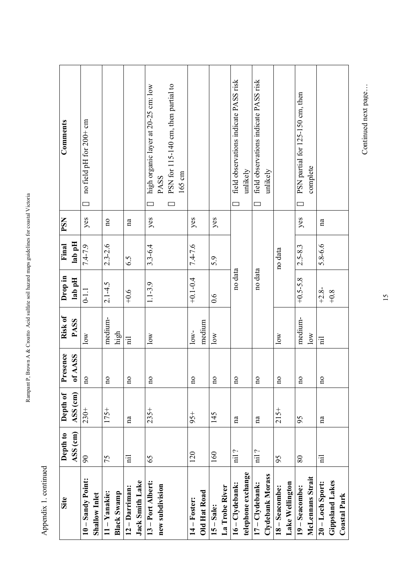| .<br>.           |
|------------------|
| i<br>I           |
|                  |
| $\frac{1}{2}$    |
| į<br>l           |
| $\overline{a}$   |
|                  |
| į                |
| J<br>l<br>I<br>l |
|                  |
| l                |
| l<br>l           |
| I                |
| l<br>ļ<br>l      |

Appendix 1. continued Appendix 1. continued

| Site                   | Depth to                | Depth of | esence<br>Ě             | Risk of                 | Drop in      | Final       | PSN                     | Comments                                   |
|------------------------|-------------------------|----------|-------------------------|-------------------------|--------------|-------------|-------------------------|--------------------------------------------|
|                        |                         |          |                         |                         |              |             |                         |                                            |
|                        | ASS (cm)                | ASS (cm) | <b>AASS</b><br>ð        | <b>PASS</b>             | lab pH       | lab pH      |                         |                                            |
| 10 - Sandy Point:      | $\mathcal{S}^0$         | $230+$   | $\overline{\mathbf{n}}$ | $\overline{\text{low}}$ | $0 - 1.1$    | $7.4 - 7.9$ | yes                     | no field pH for 200+ cm<br>š               |
| Shallow Inlet          |                         |          |                         |                         |              |             |                         |                                            |
| 11-Yanakie:            | 75                      | $175+$   | $\overline{\mathbf{n}}$ | medium-                 | $2.1 - 4.5$  | $2.3 - 2.6$ | $\overline{\mathbf{n}}$ |                                            |
| <b>Black Swamp</b>     |                         |          |                         | high                    |              |             |                         |                                            |
| 12 - Darriman:         | $\overline{a}$          | na       | $\overline{\mathbf{n}}$ | $\overline{a}$          | $+0.6$       | 6.5         | na                      |                                            |
| Jack Smith Lake        |                         |          |                         |                         |              |             |                         |                                            |
| 13 - Port Albert:      | 65                      | $235+$   | $\overline{\mathbf{n}}$ | $\overline{\text{low}}$ | $1.1 - 3.9$  | $3.3 - 6.4$ | yes                     | high organic layer at 20-25 cm: low<br>š   |
| new subdivision        |                         |          |                         |                         |              |             |                         | <b>PASS</b>                                |
|                        |                         |          |                         |                         |              |             |                         | PSN for 115-140 cm, then partial to<br>Š   |
|                        |                         |          |                         |                         |              |             |                         | 165 cm                                     |
| $14 -$ Foster:         | 120                     | $95+$    | $\overline{\mathbf{n}}$ | $low-$                  | $+0.1 - 0.4$ | $7.4 - 7.6$ | yes                     |                                            |
| <b>Old Hat Road</b>    |                         |          |                         | medium                  |              |             |                         |                                            |
| $15 - Sale:$           | 160                     | 145      | $\overline{\mathbf{n}}$ | $\overline{\text{low}}$ | 0.6          | 5.9         | yes                     |                                            |
| La Trobe River         |                         |          |                         |                         |              |             |                         |                                            |
| 16-Clydebank:          | nil ?                   | na       | $\overline{\mathbf{n}}$ |                         | no data      |             |                         | field observations indicate PASS risk<br>Š |
| telephone exchange     |                         |          |                         |                         |              |             |                         | unlikely                                   |
| 17-Clydebank:          | nil ?                   | na       | $\overline{\mathbf{n}}$ |                         | no data      |             |                         | field observations indicate PASS risk<br>š |
| Clydebank Morass       |                         |          |                         |                         |              |             |                         | unlikely                                   |
| 18 - Seacombe:         | 95                      | $215+$   | $\overline{\mathbf{n}}$ | $\overline{\text{low}}$ |              | no data     |                         |                                            |
| Lake Wellington        |                         |          |                         |                         |              |             |                         |                                            |
| 19 - Seacombe:         | $\rm 80$                | 95       | $\overline{\mathbf{n}}$ | medium-                 | $+0.5 - 5.8$ | $2.5 - 8.3$ | yes                     | PSN partial for 125-150 cm, then<br>š      |
| McLennans Strait       |                         |          |                         | $\log$                  |              |             |                         | complete                                   |
| $20 -$ Loch Sport:     | $\overline{\mathbf{H}}$ | na       | $\overline{\mathbf{n}}$ | $\overline{a}$          | $+2.8-$      | $5.8 - 6.6$ | na                      |                                            |
| <b>Gippsland Lakes</b> |                         |          |                         |                         | $+0.8$       |             |                         |                                            |
| <b>Coastal Park</b>    |                         |          |                         |                         |              |             |                         |                                            |

Continued next page... Continued next page...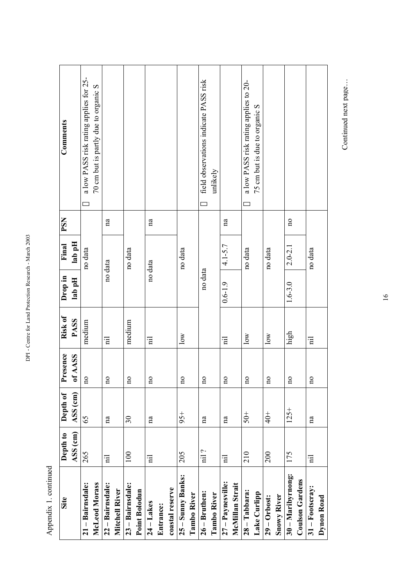| дренил 1. сонние       |                         |                      |                         |                         |                   |                 |                         |                                             |
|------------------------|-------------------------|----------------------|-------------------------|-------------------------|-------------------|-----------------|-------------------------|---------------------------------------------|
| Site                   | Depth to<br>ASS (cm)    | ASS (cm)<br>Depth of | Presence<br>of AASS     | Risk of<br><b>PASS</b>  | Drop in<br>lab pH | lab pH<br>Final | PSN                     | Comments                                    |
| 21 - Bairnsdale:       | 265                     | 65                   | $\overline{\mathbf{n}}$ | medium                  |                   | no data         |                         | a low PASS risk rating applies for 25-<br>Š |
| McLeod Morass          |                         |                      |                         |                         |                   |                 |                         | 70 cm but is partly due to organic S        |
| 22 - Bairnsdale:       | $\overline{a}$          | na                   | $\overline{\mathbf{n}}$ | 급                       | no data           |                 | na                      |                                             |
| Mitchell River         |                         |                      |                         |                         |                   |                 |                         |                                             |
| 23 - Bairnsdale:       | $100\,$                 | $30\,$               | $\overline{a}$          | medium                  |                   | no data         |                         |                                             |
| Point Bolodun          |                         |                      |                         |                         |                   |                 |                         |                                             |
| $24 - Lakes$           | $\overline{a}$          | na                   | <b>DO</b>               | 日                       | no data           |                 | na                      |                                             |
| Entrance:              |                         |                      |                         |                         |                   |                 |                         |                                             |
| coastal reserve        |                         |                      |                         |                         |                   |                 |                         |                                             |
| 25 - Sunny Banks:      | 205                     | $95+$                | <b>DO</b>               | $\overline{\text{low}}$ |                   | no data         |                         |                                             |
| <b>Tambo River</b>     |                         |                      |                         |                         |                   |                 |                         |                                             |
| $26 - Bruthen:$        | nil ?                   | na                   | <b>DO</b>               |                         | no data           |                 |                         | field observations indicate PASS risk<br>Š  |
| Tambo River            |                         |                      |                         |                         |                   |                 |                         | unlikely                                    |
| $27 -$ Paynesville:    | $\overline{\mathbf{H}}$ | na                   | $\overline{a}$          | $\overline{\mathbf{H}}$ | $0.6 - 1.9$       | $4.1 - 5.7$     | na                      |                                             |
| McMillan Strait        |                         |                      |                         |                         |                   |                 |                         |                                             |
| $28 -$ Tabbara:        | 210                     | $-60 +$              | $\overline{\mathbf{n}}$ | $\overline{\text{low}}$ |                   | no data         |                         | a low PASS risk rating applies to 20-<br>š  |
| Lake Curlipp           |                         |                      |                         |                         |                   |                 |                         | 75 cm but is due to organic S               |
| $29 -$ Orbost:         | 200                     | $rac{+}{40}$         | $\overline{\mathbf{n}}$ | $\overline{\text{low}}$ |                   | no data         |                         |                                             |
| <b>Snowy River</b>     |                         |                      |                         |                         |                   |                 |                         |                                             |
| 30 - Maribyrnong:      | 175                     | $125 +$              | $\overline{\mathbf{n}}$ | high                    | $1.6 - 3.0$       | $2.0 - 2.1$     | $\overline{\mathbf{n}}$ |                                             |
| <b>Coulson Gardens</b> |                         |                      |                         |                         |                   |                 |                         |                                             |
| $31 -$ Footscray:      | $\overline{E}$          | na                   | <b>no</b>               | $\overline{\mathbf{H}}$ |                   | no data         |                         |                                             |

Appendix 1 continued Appendix 1. continued

DPI - Centre for Land Protection Research - March 2003

DPI - Centre for Land Protection Research - March 2003

Continued next page... Continued next page...

**31** – **Footscray: Dynon Road**

Dynon Road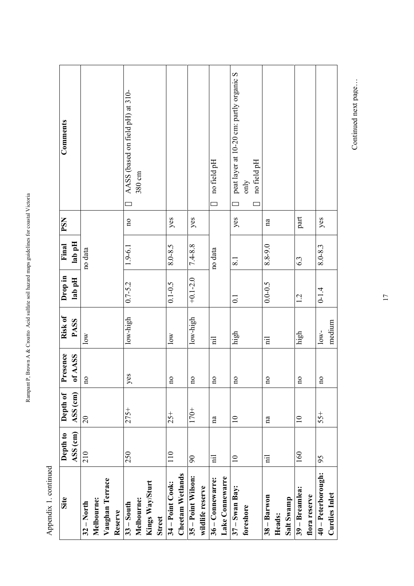| Î                    |
|----------------------|
| mondu<br>j<br>į<br>1 |

Rampant P, Brown A & Croatto Acid sulfate soil hazard maps guidelines for coastal Victoria

Rampant P, Brown A & Croatto Acid sulfate soil hazard maps guidelines for coastal Victoria

| Site                    | Depth to       | Depth of        | Presence                | Risk of                 | Drop in          | Final       | PSN                     | Comments                                      |
|-------------------------|----------------|-----------------|-------------------------|-------------------------|------------------|-------------|-------------------------|-----------------------------------------------|
|                         | ASS (cm)       | ASS (cm)        | of AASS                 | <b>PASS</b>             | lab pH           | lab pH      |                         |                                               |
| $32 - North$            | 210            | $\overline{c}$  | $\overline{\mathbf{n}}$ | $\overline{\text{low}}$ |                  | no data     |                         |                                               |
| Melbourne:              |                |                 |                         |                         |                  |             |                         |                                               |
| Vaughan Terrace         |                |                 |                         |                         |                  |             |                         |                                               |
| Reserve                 |                |                 |                         |                         |                  |             |                         |                                               |
| $33 -$ South            | 250            | $275+$          | <b>SQ</b><br>≧          | low-high                | $0.7 - 5.2$      | $1.9 - 6.1$ | $\overline{\mathbf{n}}$ | AASS (based on field pH) at 310-<br>Š         |
| Melbourne:              |                |                 |                         |                         |                  |             |                         | 380 cm                                        |
| Kings Way/Sturt         |                |                 |                         |                         |                  |             |                         |                                               |
| <b>Street</b>           |                |                 |                         |                         |                  |             |                         |                                               |
| 34 – Point Cook:        | 110            | $25 +$          | $\overline{\mathbf{n}}$ | $\overline{\text{low}}$ | $0.1 - 0.5$      | 8.0-8.5     | yes                     |                                               |
| <b>Cheetam Wetlands</b> |                |                 |                         |                         |                  |             |                         |                                               |
| 35 - Point Wilson:      | $90\,$         | $170+$          | $\overline{\mathbf{n}}$ | $low$ -high             | $+0.1 - 2.0$     | $7.4 - 8.8$ | yes                     |                                               |
| wildlife reserve        |                |                 |                         |                         |                  |             |                         |                                               |
| 36 - Connewarre:        | $\overline{n}$ | na              | $\overline{\mathbf{n}}$ | $\overline{\mathbf{n}}$ |                  | no data     |                         | no field pH<br>Š                              |
| Lake Connewarre         |                |                 |                         |                         |                  |             |                         |                                               |
| $37 - S$ wan Bay:       | $\equiv$       | $\overline{10}$ | $\overline{\mathbf{n}}$ | high                    | $\overline{0}$ : | 8.1         | yes                     | peat layer at 10-20 cm: partly organic S<br>š |
| foreshore               |                |                 |                         |                         |                  |             |                         | only                                          |
|                         |                |                 |                         |                         |                  |             |                         | no field pH<br>š                              |
| $38 - Baryon$           | $\ddot{a}$     | na              | $\overline{\mathbf{n}}$ | Ē                       | $0.0 - 0.5$      | 8.8-9.0     | na                      |                                               |
| Heads:                  |                |                 |                         |                         |                  |             |                         |                                               |
| Salt Swamp              |                |                 |                         |                         |                  |             |                         |                                               |
| 39 – Breamlea:          | 160            | $\supseteq$     | $\mathbf{p}$            | high                    | 1.2              | 6.3         | part                    |                                               |
| flora reserve           |                |                 |                         |                         |                  |             |                         |                                               |
| 40 - Peterborough:      | 95             | $55+$           | $\overline{a}$          | $low-$                  | $0 - 1.4$        | $8.0 - 8.3$ | yes                     |                                               |
| <b>Curdies Inlet</b>    |                |                 |                         | medium                  |                  |             |                         |                                               |

Continued next page... Continued next page...

T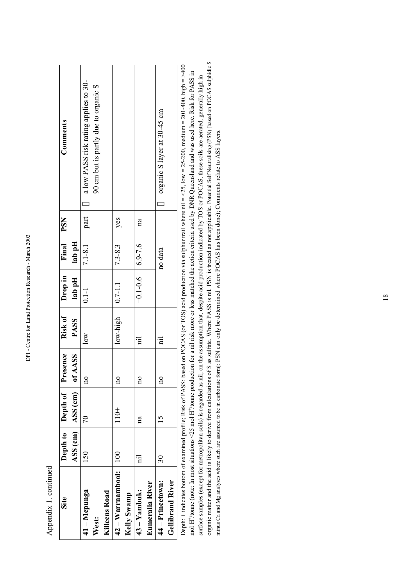| ׇ֠     |
|--------|
| i<br>֕ |
|        |
|        |
| ۱<br>٦ |
|        |
| l      |
| ı      |
| I      |
| i<br>ı |
| l      |
| ۱      |
|        |
|        |
| í      |
|        |
| l      |
| ۱      |
| ٦      |
|        |
| i      |
|        |
|        |
| ۱      |
| ı<br>í |
| Ï      |
| ı      |
| l      |
|        |
|        |
| í      |
| ۱<br>۱ |
| I<br>i |
|        |
| i      |
|        |
|        |
|        |
|        |

Appendix 1. continued Appendix 1. continued

| Site                    |                 | Depth to   Depth of    | Presence     | Risk of                 | Drop in                | Final       | <b>PSN</b>   | Comments                                                                                                                                             |
|-------------------------|-----------------|------------------------|--------------|-------------------------|------------------------|-------------|--------------|------------------------------------------------------------------------------------------------------------------------------------------------------|
|                         |                 | $ASS$ (cm) $ ASS$ (cm) | of AASS      | <b>PASS</b>             | lab pH                 | lab pH      |              |                                                                                                                                                      |
| 41 - Mepunga            | 150             | 70                     | $\mathbf{a}$ | $\overline{\text{Now}}$ | $0.1 - 1$              | $7.1 - 8.1$ | part         | 5 a low PASS risk rating applies to 30-                                                                                                              |
| West:                   |                 |                        |              |                         |                        |             |              | 90 cm but is partly due to organic S                                                                                                                 |
| <b>Killeens Road</b>    |                 |                        |              |                         |                        |             |              |                                                                                                                                                      |
| 42 – Warrnambool:       | 100             | $110+$                 | $\mathbf{p}$ | $low$ -high             | $  0.7 - 1.1$          | $7.3 - 8.3$ | yes          |                                                                                                                                                      |
| Kelly Swamp             |                 |                        |              |                         |                        |             |              |                                                                                                                                                      |
| 43 – Yambuk:            | Ē               | $\mathbf{a}$           | $\mathbf{a}$ | 日                       | $+0.1 - 0.6$   6.9-7.6 |             | $\mathbf{a}$ |                                                                                                                                                      |
| Eumeralla River         |                 |                        |              |                         |                        |             |              |                                                                                                                                                      |
| 44 – Princetown:        | $\overline{30}$ | $\overline{15}$        | $\mathbf{a}$ | $\bar{\mathrm{n}}$      |                        | no data     |              | S organic S layer at 30-45 cm                                                                                                                        |
| <b>Gellibrand River</b> |                 |                        |              |                         |                        |             |              |                                                                                                                                                      |
|                         |                 |                        |              |                         |                        |             |              | Depth: + indicates bottom of examined profile: Risk of PASS: based on POCAS (or TOS) acid production via subpressive rail = <25.000 medium = 2014000 |

organic matter and the acid is likely to derive from calculations of S as sulfate. Where PASS is nil, PSN is treated as not applicable. Potential Self Neutralising (PSN) [based on POCAS sulphidic S organic matter and the acid is likely to derive from calculations of S as sulfate. Where PASS is nil, PSN is treated as not applicable. Potential Self Neutralising (PSN) [based on POCAS sulphidic S Depth: + indicates bottom of examined profile; Risk of PASS: based on POCAS (or TOS) acid production via sulphur trail where nil = <25, low = 25-200, medium = 201-400, high = >400 Deptn: + mducates bottom of examined profile; Kisk of PASS: based on POCAS (or 10S) acid production via sulphur trail where nil = <25, low = 25-200, medium = 201-400, nigh = >40 mol H<sup>+</sup>/tome (note: In most situations <25 mol H+/tonne (note: In most situations <25 mol H+/tonne production for a nil risk more or less matched the action criteria used by DNR Queensland and was used here. Risk for PASS in surface samples (except for metropolitan soils) is regarded as nil, on the assumption that, despite acid production indicated by TOS or POCAS, these soils are aerated, generally high in surface samples (except for metropolitan soils) is regarded as nil, on the assumption that, despite acid production indicated by TOS or POCAS, these soils are aerated, generally high in minus Ca and Mg analyses where such are assumed to be in carbonate form]: PSN can only be determined where POCAS has been done); Comments relate to ASS layers. minus Ca and Mg analyses where such are assumed to be in carbonate form]: PSN can only be determined where POCAS has been done); Comments relate to ASS layers.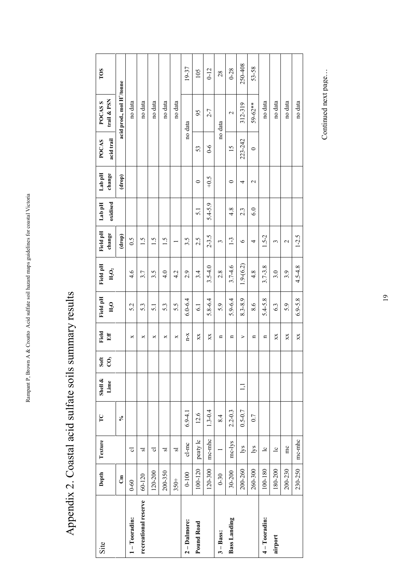| Site                 | Depth      | Texture        | $\Gamma$    | Shell &        | Soft        | Field          | Field pH         | Field pH    | Field pH        | Lab pH          | Lab pH          | <b>POCAS</b>    | POCAS <sub>S</sub>                    | TOS |
|----------------------|------------|----------------|-------------|----------------|-------------|----------------|------------------|-------------|-----------------|-----------------|-----------------|-----------------|---------------------------------------|-----|
|                      |            |                |             | Lime           | $\tilde{c}$ | Eff            | H <sub>2</sub> O | $H_2O_2$    | change          | oxidised        | change          | acid trail      | trail & PSN                           |     |
|                      | ්          |                | $\sqrt{6}$  |                |             |                |                  |             | (drop)          |                 | (drop)          |                 | acid prod., mol H <sup>+</sup> /tonne |     |
| $1 - Tooradin:$      | $0 - 60$   | ಕ              |             |                |             | ×              | 5.2              | 4.6         | 0.5             |                 |                 |                 | no data                               |     |
| recreational reserve | $60 - 120$ | ವ              |             |                |             | ×              | 53               | 3.7         | $\frac{5}{1}$   |                 |                 |                 | no data                               |     |
|                      | 120-200    | ಕ              |             |                |             | ×              | $\overline{5}$ . | 3.5         | $\ddot{5}$      |                 |                 |                 | no data                               |     |
|                      | 200-350    | 51             |             |                |             | ×              | 5.3              | 4.0         | 1.5             |                 |                 |                 | no data                               |     |
|                      | $350+$     | ವ              |             |                |             | ×              | 5.5              | 4.2         |                 |                 |                 |                 | no data                               |     |
| 2-Dalmore:           | $0 - 100$  | cl-mc          | $6.9 - 4.1$ |                |             | $X-U$          | $6.0 - 6.4$      | 2.9         | 3.5             |                 |                 |                 | no data                               |     |
| <b>Pound Road</b>    | 100-120    | peaty lc       | 12.6        |                |             | XX             | $\overline{61}$  | 3.4         | 2.5             | $\overline{51}$ | $\circ$         | 53              | 95                                    |     |
|                      | 120-300    | mc-mhc         | $1.3 - 0.4$ |                |             | XX             | $5.8 - 6.4$      | $3.5 - 4.0$ | $2 - 3.5$       | $5.4 - 5.9$     | $-0.5$          | $6-6$           | $2 - 7$                               |     |
| $3 - Bas:$           | $0 - 30$   |                | 8.4         |                |             | n              | 5.9              | 2.8         | 3               |                 |                 |                 | no data                               |     |
| <b>Bass Landing</b>  | 30-200     | mc-lys         | $2.2 - 0.3$ |                |             | n              | $5.9 - 6.4$      | $3.7 - 4.6$ | $1-3$           | 4.8             | $\circ$         | $\overline{15}$ | $\mathbf{\sim}$                       |     |
|                      | 200-260    | lys            | $0.5 - 0.7$ | $\overline{1}$ |             | ⋗              | 8.3-8.9          | $1.9-(6.2)$ | $\circ$         | 2.3             | 4               | 223-242         | 312-319                               |     |
|                      | 260-300    | lys            | 0.7         |                |             | $\blacksquare$ | 8.6              | 4.8         | 4               | 6.0             | $\mathbf{\sim}$ | $\circ$         | $59 - 62**$                           |     |
| 4-Tooradin:          | 100-180    | $\overline{c}$ |             |                |             | n              | $5.4 - 5.8$      | $3.7 - 3.8$ | $1.5 - 2$       |                 |                 |                 | no data                               |     |
| airport              | 180-200    | $\overline{c}$ |             |                |             | XX             | 6.3              | 3.0         | 3               |                 |                 |                 | no data                               |     |
|                      | 200-230    | mc             |             |                |             | XX             | 5.9              | 3.9         | $\mathbf{\sim}$ |                 |                 |                 | no data                               |     |
|                      | 230-250    | mc-mhc         |             |                |             | XX             | $6.9 - 5.8$      | $4.5 - 4.8$ | $1 - 2.5$       |                 |                 |                 | no data                               |     |

Appendix 2. Coastal acid sulfate soils summary results Appendix 2. Coastal acid sulfate soils summary results

 $\overline{1}$ 

٦

Rampant P, Brown A & Croatto Acid sulfate soil hazard maps guidelines for coastal Victoria

Rampant P, Brown A & Croatto Acid sulfate soil hazard maps guidelines for coastal Victoria

Continued next page... Continued next page...

19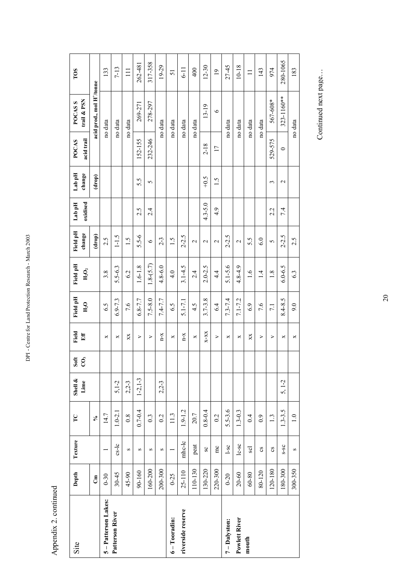| Site               | Depth      | Texture                | $\Gamma$         | Shell &<br>Lime | Soft<br>Ĉ, | Field<br>Eff     | Field pH    | Field pH       | Field pH<br>change | Lab pH      | Lab pH<br>change | <b>POCAS</b>    | trail & PSN<br><b>POCASS</b>          | TOS             |
|--------------------|------------|------------------------|------------------|-----------------|------------|------------------|-------------|----------------|--------------------|-------------|------------------|-----------------|---------------------------------------|-----------------|
|                    | ්          |                        | $\aleph$         |                 |            |                  | $H_2O$      | $H_2O_2$       | (drop)             | oxidised    | (drop)           | acid trail      | acid prod., mol H <sup>+</sup> /tonne |                 |
|                    |            |                        |                  |                 |            |                  |             |                |                    |             |                  |                 |                                       |                 |
| 5-Patterson Lakes: | $0 - 30$   |                        | 14.7             |                 |            | ×                | 6.5         | 3.8            | 2.5                |             |                  |                 | no data                               | 133             |
| Patterson River    | $30 - 45$  | $c s - l c$            | $1.0 - 2.1$      | $5,1-2$         |            | ×                | $6.9 - 7.3$ | $5.5 - 6.3$    | $1 - 1.5$          |             |                  |                 | no data                               | $7 - 13$        |
|                    | 45-90      | S                      | $0.\overline{8}$ | $2,2-3$         |            | XX               | 7.6         | 6.2            | $\ddot{5}$         |             |                  |                 | no data                               | $\Xi$           |
|                    | 90-160     | S                      | $0.7 - 0.4$      | $1-2, 1-3$      |            | ⋗                | $6.8 - 7.7$ | $1.6 - 1.8$    | $5.5 - 6$          | 2.5         | 5.5              | 152-155         | 269-271                               | 262-481         |
|                    | 160-200    | S                      | $0.\overline{3}$ |                 |            | ⋗                | $7.5 - 8.0$ | $1.8 - (5.7)$  | $\circ$            | 2.4         | 5                | 232-246         | 278-297                               | 317-358         |
|                    | 200-300    | S                      | 0.2              | $2,2-3$         |            | $X$ -D           | $7.4 - 7.7$ | $4.8 - 6.0$    | $2 - 3$            |             |                  |                 | no data                               | 19-29           |
| $6 - Tooradin:$    | $0 - 25$   |                        | 11.3             |                 |            | ×                | 6.5         | $\frac{4}{10}$ | 1.5                |             |                  |                 | no data                               | 51              |
| riverside reserve  | $25 - 110$ | mhc-lc                 | $1.9 - 1.2$      |                 |            | $n - x$          | $5.1 - 7.1$ | $3.1 - 4.5$    | $2 - 2.5$          |             |                  |                 | no data                               | $\overline{11}$ |
|                    | 110-130    | peat                   | 20.7             |                 |            | ×                | 4.5         | 2.4            | $\mathbf{\sim}$    |             |                  |                 | no data                               | 400             |
|                    | 130-220    | SC <sub>1</sub>        | $0.8 - 0.4$      |                 |            | $X-XX$           | $3.7 - 3.8$ | $2.0 - 2.5$    | $\mathbf{\sim}$    | $4.3 - 5.0$ | $-0.5$           | $2 - 18$        | $13-19$                               | $12 - 30$       |
|                    | 220-300    | $rac{1}{2}$            | 0.2              |                 |            | $\geq$           | 6.4         | $4\cdot$       | $\mathbf{\sim}$    | 4.9         | $\ddot{0}$       | $\overline{17}$ | $\circ$                               | $\overline{0}$  |
| 7-Dalyston:        | $0 - 20$   | $1-sc$                 | $5.5 - 3.6$      |                 |            | ×                | $7.3 - 7.4$ | $5.1 - 5.6$    | $2 - 2.5$          |             |                  |                 | no data                               | 27-45           |
| Powlett River      | $20 - 60$  | $lc$ -sc               | $1.3 - 0.3$      |                 |            | ×                | $7.1 - 7.2$ | $4.8 - 4.9$    | $\mathbf{\Omega}$  |             |                  |                 | no data                               | $10 - 18$       |
| mouth              | $60 - 80$  | scl                    | 0.4              |                 |            | XX               | 6.9         | $\frac{6}{1}$  | 5.5                |             |                  |                 | no data                               | $\equiv$        |
|                    | 80-120     | CS                     | 0.9              |                 |            | ⋗                | 7.6         | $\overline{1}$ | 6.0                |             |                  |                 | no data                               | 143             |
|                    | 120-180    | $\mathbf{c}\mathbf{s}$ | $\frac{1}{3}$    |                 |            | $\triangleright$ | 7.1         | 1.8            | 5                  | 2.2         | 3                | 529-575         | 567-608*                              | 974             |
|                    | 180-300    | $S-SC$                 | $1.3 - 3.5$      | $5, 1-2$        |            | ×                | $8.4 - 8.5$ | $6.0 - 6.5$    | $2 - 2.5$          | 7.4         | $\mathbf{\sim}$  | $\circ$         | 323-1160**                            | 280-1065        |
|                    | 300-350    | S                      | $\frac{0}{1}$    |                 |            | ×                | 9.0         | 6.3            | 2.5                |             |                  |                 | no data                               | 183             |

DPI - Centre for Land Protection Research - March 2003 DPI - Centre for Land Protection Research - March 2003

 $\mathsf{r}$ 

T ٦

T

Appendix 2. continued Appendix 2. continued

Continued next page... Continued next page...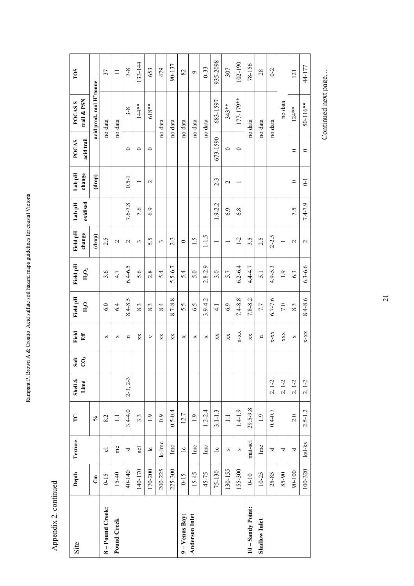| Site              | Depth        | Texture                 | $\Gamma$         | Shell $\&$<br>Lime | Soft<br>CÔ, | Field<br>Eff | Field pH<br>H <sub>2</sub> O | Field pH<br>$H_2O_2$ | Field pH<br>change | oxidised<br>Lab pH | Lab pH<br>change | acid trail<br><b>POCAS</b> | trail & PSN<br><b>POCASS</b>          | TOS      |
|-------------------|--------------|-------------------------|------------------|--------------------|-------------|--------------|------------------------------|----------------------|--------------------|--------------------|------------------|----------------------------|---------------------------------------|----------|
|                   | $\mathbf{g}$ |                         | $\mathcal{S}$    |                    |             |              |                              |                      | (drop)             |                    | (drop)           |                            | acid prod., mol H <sup>+</sup> /tonne |          |
| 8-Pound Creek:    | $0 - 15$     | $\overline{\circ}$      | 8.2              |                    |             | ×            | 6.0                          | 3.6                  | 2.5                |                    |                  |                            | no data                               | 37       |
| Pound Creek       | $15 - 40$    | mc                      | $\equiv$         |                    |             | ×            | 6.4                          | 4.7                  | $\mathbf{\sim}$    |                    |                  |                            | no data                               | $\equiv$ |
|                   | 40-140       | $\overline{s}$          | $3.4 - 4.0$      | $2-3, 2-3$         |             | n            | $8.4 - 8.5$                  | $6.4 - 6.5$          | $\mathbf{\sim}$    | $7.6 - 7.8$        | $0.5 - 1$        | $\circ$                    | $3 - 8$                               | $7 - 8$  |
|                   | 140-170      | scl                     | $3.\overline{3}$ |                    |             | XX           | 8.3                          | 5.6                  | 3                  | 7.6                |                  | $\circ$                    | $144**$                               | 133-144  |
|                   | 170-200      | $\overline{c}$          | 1.9              |                    |             | ⋗            | 8.3                          | 2.8                  | 5.5                | 6.9                | $\mathbf 2$      | $\circ$                    | 618**                                 | 653      |
|                   | 200-225      | $lc$ - $lmc$            | $_{0.9}$         |                    |             | XX           | 8.4                          | 54                   | 3                  |                    |                  |                            | no data                               | 479      |
|                   | 225-300      | $\ln c$                 | $0.5 - 0.4$      |                    |             | XX           | 8.7-8.8                      | $5.5 - 6.7$          | $2 - 3$            |                    |                  |                            | no data                               | 90-137   |
| 9 - Venus Bay:    | $0 - 15$     | $\overline{c}$          | 12.7             |                    |             | ×            | 5.5                          | 5.4                  | $\circ$            |                    |                  |                            | no data                               | 82       |
| Anderson Inlet    | $15 - 45$    | $\ln c$                 | $\overline{1.9}$ |                    |             | ×            | 6.5                          | 5.0                  | $\ddot{5}$         |                    |                  |                            | no data                               | Ó        |
|                   | 45-75        | $\ln c$                 | $1.2 - 2.4$      |                    |             | ×            | $3.9 - 4.2$                  | $2.8 - 2.9$          | $1 - 1.5$          |                    |                  |                            | no data                               | $0 - 33$ |
|                   | 75-130       | $\overline{c}$          | $3.1 - 1.3$      |                    |             | XX           | $\frac{1}{4}$                | 3.0                  |                    | $1.9 - 2.2$        | $2 - 3$          | 673-1590                   | 683-1597                              | 935-2098 |
|                   | 130-155      | S                       | $\equiv$         |                    |             | XX           | 6.9                          | 5.7                  |                    | 6.9                | $\mathbf 2$      | $\circ$                    | $343**$                               | 307      |
|                   | 155-300      | $\mathbf{\Omega}$       | $1.4 - 1.9$      |                    |             | $n-xx$       | $7.4 - 8.8$                  | $6.2 - 6.4$          | $1 - 2$            | 6.8                |                  | $\circ$                    | 177-179**                             | 102-190  |
| 10 - Sandy Point: | $0 - 10$     | mat-scl                 | 29.5-9.8         |                    |             | XX           | $7.8 - 8.2$                  | $4.4 - 4.7$          | 3.5                |                    |                  |                            | no data                               | 78-156   |
| Shallow Inlet     | $10 - 25$    | $\ln c$                 | 1.9              |                    |             | n            | 7.7                          | $\overline{5.1}$     | 2.5                |                    |                  |                            | no data                               | 28       |
|                   | 25-85        | $\overline{s}$          | $0.4 - 0.7$      | $2, 1-2$           |             | $X-X-X$      | $6.7 - 7.6$                  | $4.9 - 5.3$          | $2 - 2.5$          |                    |                  |                            | no data                               | $0 - 2$  |
|                   | 85-90        | $\overline{\mathbf{s}}$ |                  | $2, 1-2$           |             | XXX          | 7.0                          | $\overline{1}$ .9    |                    |                    |                  |                            | no data                               |          |
|                   | 90-100       | $\overline{\mathbf{s}}$ | 2.0              | $2, 1-2$           |             | ×            | 8.3                          | 6.3                  | $\mathbf{\sim}$    | 7.5                | $\circ$          | $\circ$                    | $124**$                               | 121      |
|                   | 100-320      | ksl-ks                  | $2.5 - 1.2$      | $2, 1-2$           |             | $X-XX$       | 8.4-8.6                      | $6.3 - 6.6$          | $\mathbf{\sim}$    | $7.4 - 7.9$        | $\overline{0}$   | $\circ$                    | 50-116**                              | 44-177   |

Rampant P, Brown A & Croatto Acid sulfate soil hazard maps guidelines for coastal Victoria Rampant P, Brown A & Croatto Acid sulfate soil hazard maps guidelines for coastal Victoria

> Appendix 2. continued Appendix 2. continued

Continued next page... Continued next page...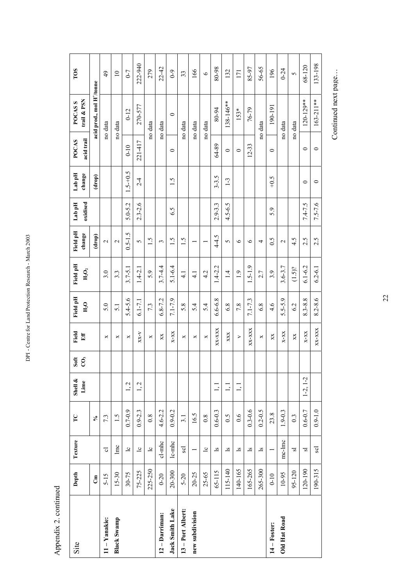| Site               | Depth     | Texture                 | $\Gamma$         | Shell $\&$<br>Lime              | Soft<br>Ĉ, | Field<br>缸 | Field pH<br>$H_2O$ | Field pH<br>$H_2O_2$ | Field pH<br>change       | oxidised<br>Lab pH | Lab pH<br>change | acid trail<br><b>POCAS</b> | trail & PSN<br><b>POCASS</b>          | TOS                      |
|--------------------|-----------|-------------------------|------------------|---------------------------------|------------|------------|--------------------|----------------------|--------------------------|--------------------|------------------|----------------------------|---------------------------------------|--------------------------|
|                    | ්         |                         | $\mathcal{S}$    |                                 |            |            |                    |                      | (drop)                   |                    | (drop)           |                            | acid prod., mol H <sup>+</sup> /tonne |                          |
| 11-Yanakie:        | $5 - 15$  | ಕ                       | 7.3              |                                 |            | ×          | 5.0                | 3.0                  | $\overline{\mathcal{C}}$ |                    |                  |                            | no data                               | 49                       |
| <b>Black Swamp</b> | $15 - 30$ | lmc                     | 1.5              |                                 |            | ×          | $\overline{5}$ .   | $3.\overline{3}$     | $\mathbf{\Omega}$        |                    |                  |                            | no data                               | $\overline{\phantom{0}}$ |
|                    | 30-75     | $\overline{c}$          | $0.7 - 0.9$      | 1, 2                            |            | ×          | $5.4 - 5.6$        | $3.7 - 5.1$          | $0.5 - 1.5$              | $5.0 - 5.2$        | $1.5 - 0.5$      | $0 - 10$                   | $0 - 12$                              | $0 - 7$                  |
|                    | 75-225    | $\overline{c}$          | $0.9 - 2.3$      | 1, 2                            |            | $X-X-X$    | $6.1 - 7.1$        | $1.4 - 2.1$          | 5                        | $2.3 - 2.6$        | $2 - 4$          | 221-417                    | 270-577                               | 222-940                  |
|                    | 225-250   | $\overline{c}$          | 0.8              |                                 |            | ×          | 7.3                | 5.9                  | $\ddot{5}$               |                    |                  |                            | no data                               | 279                      |
| $12 -$ Darriman:   | $0 - 20$  | cl-mhc                  | $4.6 - 2.2$      |                                 |            | XX         | $6.8 - 7.2$        | $3.7 - 4.4$          | 3                        |                    |                  |                            | no data                               | $22 - 42$                |
| Jack Smith Lake    | 20-300    | $l$ c-m $hc$            | $0.9 - 0.2$      |                                 |            | $X-XX$     | $7.1 - 7.9$        | $5.1 - 6.4$          | $\overline{1.5}$         | 6.5                | $\overline{1.5}$ | $\circ$                    | $\circ$                               | $6-9$                    |
| 13 - Port Albert:  | $5 - 20$  | scl                     | 3.1              |                                 |            | ×          | 5.8                | $\frac{1}{4}$        | $\overline{1.5}$         |                    |                  |                            | no data                               | 33                       |
| new subdivision    | $20 - 25$ |                         | 16.5             |                                 |            | ×          | 54                 | $\frac{1}{4}$        | $\overline{\phantom{0}}$ |                    |                  |                            | no data                               | 166                      |
|                    | $25 - 65$ | $\overline{c}$          | 0.8              |                                 |            | ×          | 5.4                | 4.2                  | $\overline{\phantom{0}}$ |                    |                  |                            | no data                               | $\circ$                  |
|                    | 65-115    | $\overline{\mathbf{s}}$ | $0.6 - 0.3$      | 1, 1                            |            | XX-XXX     | $6.6 - 6.8$        | $1.4 - 2.2$          | $4 - 4.5$                | $2.9 - 3.3$        | $3 - 3.5$        | 64-89                      | 80-94                                 | 80-98                    |
|                    | 115-140   | $\overline{\mathbf{s}}$ | 0.5              | $\overline{1}$ , $\overline{1}$ |            | XXX        | 6.8                | $\overline{1}$       | 5                        | $4.5 - 6.5$        | $1-3$            | $\circ$                    | 138-146**                             | 132                      |
|                    | 140-165   | $\overline{\mathbf{s}}$ | 0.6              | $\overline{1}$ ,                |            | $\geq$     | 7.8                | $\overline{0}$       | $\circ$                  |                    |                  | $\circ$                    | $153*$                                | 171                      |
|                    | 165-265   | $\overline{\mathbf{s}}$ | $0.3 - 0.6$      |                                 |            | XX-XXX     | $7.1 - 7.3$        | $1.5 - 1.9$          | $\circ$                  |                    |                  | $12 - 33$                  | 76-79                                 | 85-97                    |
|                    | 265-300   | $\overline{\mathbf{s}}$ | $0.2 - 0.5$      |                                 |            | ×          | 6.8                | 2.7                  | 4                        |                    |                  |                            | no data                               | 56-65                    |
| $14 -$ Foster:     | $0-10$    |                         | 23.8             |                                 |            | XX         | 4.6                | 3.9                  | 0.5                      | 5.9                | $-0.5$           | $\circ$                    | 190-191                               | 196                      |
| Old Hat Road       | 10-95     | mc-Imc                  | $1.9 - 0.3$      |                                 |            | $X-XX$     | $5.5 - 5.9$        | $3.6 - 3.7$          | $\mathbf{\Omega}$        |                    |                  |                            | no data                               | $0 - 24$                 |
|                    | 95-120    | $\overline{\mathbf{s}}$ | $0.\overline{3}$ |                                 |            | XX         | 6.2                | $(1.5)$ ?            | 4.5                      |                    |                  |                            | no data                               | 5                        |
|                    | 120-190   | $\overline{s}$          | $0.6 - 0.7$      | $1-2, 1-2$                      |            | $X-XX$     | $8.3 - 8.8$        | $6.1 - 6.2$          | 2.5                      | $7.4 - 7.5$        | $\circ$          | $\circ$                    | 120-129**                             | 68-120                   |
|                    | 190-315   | scl                     | $0.9 - 1.0$      |                                 |            | $XX-XXX$   | $8.2 - 8.6$        | $6.2 - 6.1$          | 2.5                      | $7.5 - 7.6$        | $\circ$          | $\circ$                    | $163 - 211**$                         | 133-198                  |

Appendix 2. continued

Appendix 2. continued

DPI - Centre for Land Protection Research - March 2003

DPI - Centre for Land Protection Research - March 2003

Continued next page... Continued next page...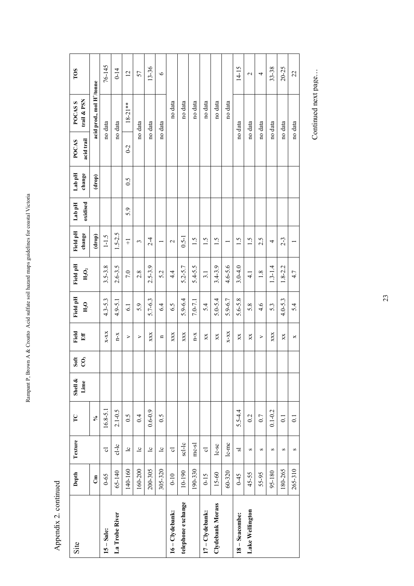| Site               | Depth        | Texture                 | $\Gamma$                | Shell &<br>Lime | Soft<br>$\tilde{\mathrm{c}}$ | Field<br>Eff | Field pH<br>H <sub>2</sub> O | Field pH<br>${\rm H}_2{\rm O}_2$ | Field pH<br>change | oxidised<br>Lab pH | Lab pH<br>change | acid trail<br>POCAS | trail & PSN<br>POCAS <sub>S</sub>     | TOS             |
|--------------------|--------------|-------------------------|-------------------------|-----------------|------------------------------|--------------|------------------------------|----------------------------------|--------------------|--------------------|------------------|---------------------|---------------------------------------|-----------------|
|                    | $\mathbf{G}$ |                         | $\mathcal{S}_{\bullet}$ |                 |                              |              |                              |                                  | (drop)             |                    | $(\text{drop})$  |                     | acid prod., mol H <sup>+</sup> /tonne |                 |
| $15 - Salec$       | $0 - 65$     | ಕ                       | $16.8 - 5.1$            |                 |                              | $X-XX$       | $4.3 - 5.3$                  | $3.5 - 3.8$                      | $1 - 1.5$          |                    |                  |                     | no data                               | 76-145          |
| La Trobe River     | 65-140       | $cI-Ic$                 | $2.1 - 0.5$             |                 |                              | $X-U$        | $4.9 - 5.1$                  | $2.6 - 3.5$                      | $1.5 - 2.5$        |                    |                  |                     | no data                               | $0 - 14$        |
|                    | 140-160      | $\overline{c}$          | $\tilde{S}$ :0          |                 |                              | >            | $\overline{61}$              | 7.0                              | $\overline{+}$     | 5.9                | 0.5              | $0-2$               | $18-21**$                             | $\overline{c}$  |
|                    | 160-200      | $\overline{c}$          | 0.4                     |                 |                              | >            | 5.9                          | 2.8                              | 3                  |                    |                  |                     | no data                               | 57              |
|                    | 200-305      | $\overline{c}$          | $0.6 - 0.9$             |                 |                              | XXX          | $5.7 - 6.3$                  | $2.5 - 3.9$                      | $2 - 4$            |                    |                  |                     | no data                               | 13-36           |
|                    | 305-320      | $\overline{c}$          | 0.5                     |                 |                              | $\mathbf{u}$ | 6.4                          | 5.2                              |                    |                    |                  |                     | no data                               | $\bullet$       |
| 16-Clydebank:      | $0 - 10$     | ಕ                       |                         |                 |                              | XXX          | 6.5                          | $\frac{4}{4}$                    | $\mathbf{\Omega}$  |                    |                  |                     | no data                               |                 |
| telephone exchange | 10-190       | scl-lc                  |                         |                 |                              | XXX          | $5.9 - 6.4$                  | $5.2 - 5.7$                      | $0.5 - 1$          |                    |                  |                     | no data                               |                 |
|                    | 190-330      | $mc-sl$                 |                         |                 |                              | $X-U$        | $7.0 - 7.1$                  | $5.4 - 5.5$                      | 1.5                |                    |                  |                     | no data                               |                 |
| 17-Clydebank:      | $0 - 15$     | ಕ                       |                         |                 |                              | XX           | 5.4                          | 3.1                              | 1.5                |                    |                  |                     | no data                               |                 |
| Clydebank Morass   | $15 - 60$    | $lc-sc$                 |                         |                 |                              | XX           | $5.0 - 5.4$                  | $3.4 - 3.9$                      | $\ddot{5}$         |                    |                  |                     | no data                               |                 |
|                    | 60-320       | $lc$ -m $c$             |                         |                 |                              | $X-XX$       | 5.9-6.7                      | $4.6 - 5.6$                      |                    |                    |                  |                     | no data                               |                 |
| 18 - Seacombe:     | $5 + 0$      | $\overline{\mathbf{s}}$ | $5.5 - 4.4$             |                 |                              | XX           | $5.6 - 5.8$                  | $3.0 - 4.0$                      | 1.5                |                    |                  |                     | no data                               | $14 - 15$       |
| Lake Wellington    | 45-55        | S                       | 0.2                     |                 |                              | XX           | 5.8                          | $\frac{1}{4}$                    | 1.5                |                    |                  |                     | no data                               | $\mathbf{\sim}$ |
|                    | 55-95        | S                       | 0.7                     |                 |                              | >            | 4.6                          | 1.8                              | 2.5                |                    |                  |                     | no data                               | 4               |
|                    | 95-180       | S                       | $0.1 - 0.2$             |                 |                              | XXX          | 5.3                          | $1.3 - 1.4$                      | 4                  |                    |                  |                     | no data                               | 33-38           |
|                    | 180-265      | S                       | $\overline{0}$ .        |                 |                              | XX           | $4.0 - 5.3$                  | $1.8 - 2.2$                      | $2 - 3$            |                    |                  |                     | no data                               | 20-25           |
|                    | 265-310      | S                       | $\overline{0}$ .        |                 |                              | ×            | 5.4                          | 4.7                              |                    |                    |                  |                     | no data                               | 22              |

Appendix 2. continued Appendix 2. continued

Rampant P, Brown A & Croatto Acid sulfate soil hazard maps guidelines for coastal Victoria

Rampant P, Brown A & Croatto Acid sulfate soil hazard maps guidelines for coastal Victoria

Continued next page... Continued next page...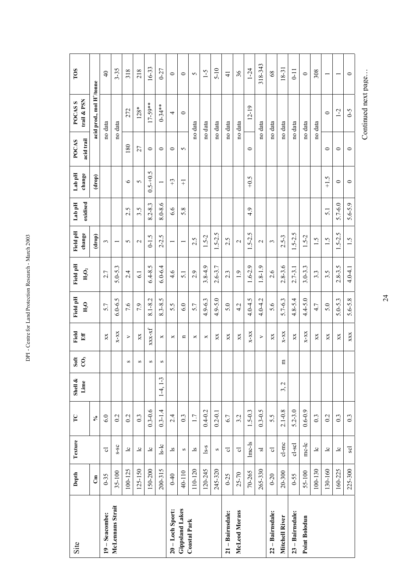| Site                   | Depth        | Texture                 | $\Gamma$         | Shell &<br>Lime   | Soft<br>$\rm C0$ | Field<br>Eff           | Field pH<br>$H_2O$ | Field pH<br>$H_2O_2$ | Field pH<br>change       | oxidised<br>Lab pH | Lab pH<br>change         | acid trail<br>POCAS | trail & PSN<br>POCAS <sub>S</sub>     | TOS             |
|------------------------|--------------|-------------------------|------------------|-------------------|------------------|------------------------|--------------------|----------------------|--------------------------|--------------------|--------------------------|---------------------|---------------------------------------|-----------------|
|                        | $\mathbf{g}$ |                         | $\aleph$         |                   |                  |                        |                    |                      | (drop)                   |                    | (drop)                   |                     | acid prod., mol H <sup>+</sup> /tonne |                 |
| 19-Seacombe:           | $0 - 35$     | $\overline{\circ}$      | 6.0              |                   |                  | XX                     | 5.7                | 2.7                  | 3                        |                    |                          |                     | no data                               | $\overline{4}$  |
| McLennans Strait       | 35-100       | $S-SC$                  | 0.2              |                   |                  | $X-XX$                 | $6.0 - 6.5$        | $5.0 - 5.3$          | $\overline{\phantom{0}}$ |                    |                          |                     | no data                               | $3 - 35$        |
|                        | 100-125      | $\overline{c}$          | 0.2              |                   | S                | ⋗                      | 7.6                | 2.4                  | 5                        | S<br>$\sim$        | $\circ$                  | 180                 | 272                                   | 318             |
|                        | $125 - 150$  | $\overline{c}$          | $0.\overline{3}$ |                   | S                | XX                     | 7.9                | $\overline{61}$      | $\mathbf{\sim}$          | 3.5                | $\sigma$                 | 27                  | $128*$                                | 218             |
|                        | 150-200      | $\overline{c}$          | $0.3 - 0.6$      |                   | S                | $_{\rm XXX\mbox{-}X}$  | $8.1 - 8.2$        | $6.4 - 8.5$          | $0 - 1.5$                | $8.2 - 8.3$        | $0.5 - 0.5$              | $\circ$             | $17-59**$                             | $16 - 33$       |
|                        | 200-315      | $s-lc$                  | $0.3 - 1.4$      | $1-4, 1-3$        | S                | ×                      | $8.3 - 8.5$        | $6.0 - 6.4$          | $2 - 2.5$                | $8.0 - 8.6$        | $\overline{\phantom{0}}$ | $\circ$             | $0 - 34**$                            | $0 - 27$        |
| 20-Loch Sport:         | $0 - 40$     | $\overline{\mathbf{s}}$ | 2.4              |                   |                  | ×                      | 5.5                | $\frac{4}{6}$        | $\overline{\phantom{0}}$ | 6.6                | $\ddot{ }$               | $\circ$             | 4                                     | $\circ$         |
| <b>Gippsland Lakes</b> | 40-110       | S                       | $0.\overline{3}$ |                   |                  | Ч                      | 6.0                | $\overline{5}$ .     |                          | 5.8                | $\overline{+}$           | 5                   | $\circ$                               | $\circ$         |
| <b>Coastal Park</b>    | 110-120      | $\overline{\mathbf{s}}$ | 1.7              |                   |                  | ×                      | 5.7                | 2.9                  | 2.5                      |                    |                          |                     | no data                               | 5               |
|                        | 120-245      | $s-s$                   | $0.4 - 0.2$      |                   |                  | ×                      | $4.9 - 6.3$        | $3.8 - 4.9$          | $1.5 - 2$                |                    |                          |                     | no data                               | $\zeta$ -1      |
|                        | 245-320      | S                       | $0.2 - 0.1$      |                   |                  | XX                     | $4.9 - 5.0$        | $2.6 - 3.7$          | $1.5 - 2.5$              |                    |                          |                     | no data                               | $5 - 10$        |
| 21 - Bairnsdale:       | $0 - 25$     | ಕ                       | 6.7              |                   |                  | XX                     | 5.0                | $2.\overline{3}$     | 2.5                      |                    |                          |                     | no data                               | $\frac{4}{5}$   |
| McLeod Morass          | $25 - 70$    | ್ರ                      | 3.2              |                   |                  | XX                     | 4.2                | $\overline{1}$ .9    | $\mathbf{\mathcal{L}}$   |                    |                          |                     | no data                               | 36              |
|                        | 70-265       | $lmc-ls$                | $1.5 - 0.3$      |                   |                  | $X-XX$                 | $4.0 - 4.5$        | $1.6 - 2.9$          | $1.5 - 2.5$              | 4.9                | $-0.5$                   | $\circ$             | $12 - 19$                             | $1 - 24$        |
|                        | 265-330      | $\overline{\mathbf{s}}$ | $0.3 - 0.5$      |                   |                  | ⋗                      | $4.0 - 4.2$        | $1.8 - 1.9$          | $\mathbf{c}$             |                    |                          |                     | no data                               | 318-343         |
| 22 – Bairnsdale:       | $0 - 20$     | $\vec{\circ}$           | 5.5              |                   |                  | XX                     | 5.6                | 2.6                  | 3                        |                    |                          |                     | no data                               | 8 <sup>o</sup>  |
| Mitchell River         | $20 - 300$   | $cl-mc$                 | $2.1 - 0.8$      | $\mathbf 2$<br>3, | Е                | $X-XX$                 | $5.7 - 6.3$        | $2.8 - 3.6$          | $2.5 - 3$                |                    |                          |                     | no data                               | $18-31$         |
| 23 - Bairnsdale:       | $0 - 55$     | cl-scl                  | $5.2 - 3.0$      |                   |                  | XX                     | $4.8 - 5.4$        | $2.7 - 3.1$          | $1.5 - 2.5$              |                    |                          |                     | no data                               | $\overline{11}$ |
| <b>Point Bolodun</b>   | 55-100       | $mc$ - $lc$             | $0.6 - 0.9$      |                   |                  | $X-XX$                 | $4.4 - 5.0$        | $3.0 - 3.3$          | $1.5 - 2$                |                    |                          |                     | no data                               | $\circ$         |
|                        | 100-130      | $\overline{c}$          | 0.3              |                   |                  | XX                     | 4.7                | $3.\overline{3}$     | $\frac{1}{2}$            |                    |                          |                     | no data                               | 308             |
|                        | 130-160      | $\overline{c}$          | 0.2              |                   |                  | XX                     | 5.0                | 3.5                  | 1.5                      | $\overline{5}$ .   | ن<br>$\frac{1}{+}$       | 0                   | $\circ$                               |                 |
|                        | 160-225      | $\overline{c}$          | $0.\overline{3}$ |                   |                  | $\mathbf{X}\mathbf{X}$ | $5.0 - 5.3$        | $2.8 - 3.5$          | $1.5 - 2.5$              | $5.7 - 6.0$        | 0                        | $\circ$             | $1 - 2$                               |                 |
|                        | 225-300      | <b>Scl</b>              | $0.\overline{3}$ |                   |                  | XXX                    | $5.6 - 5.8$        | $4.0 - 4.1$          | 1.5                      | $5.6 - 5.9$        | $\circ$                  | $\circ$             | $6 - 5$                               | $\circ$         |

DPI - Centre for Land Protection Research - March 2003 DPI - Centre for Land Protection Research - March 2003

24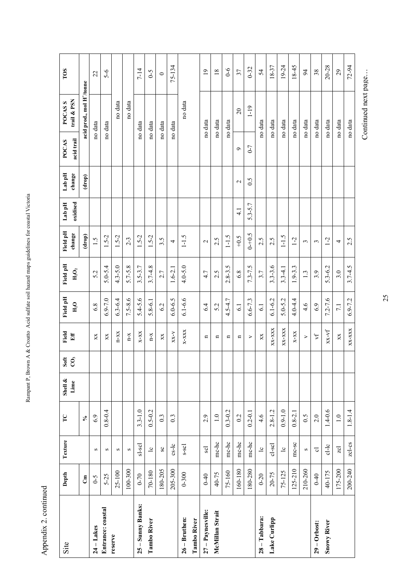Appendix 2. continued Appendix 2. continued

Rampant P, Brown A & Croatto Acid sulfate soil hazard maps guidelines for coastal Victoria

Rampant P, Brown A & Croatto Acid sulfate soil hazard maps guidelines for coastal Victoria

| Site               | Depth       | Texture               | $\mathbf{C}$                       | Shell $\&$ | Soft           | Field                          | Field pH         | Field pH            | Field pH       | Lab pH        | Lab pH            | POCAS      | POCAS <sub>S</sub>                    | TOS             |
|--------------------|-------------|-----------------------|------------------------------------|------------|----------------|--------------------------------|------------------|---------------------|----------------|---------------|-------------------|------------|---------------------------------------|-----------------|
|                    |             |                       |                                    | Lime       | $\overline{c}$ | $\mathbf{E}$ ff                | $H_2O$           | $H_2O_2$            | change         | oxidised      | change            | acid trail | trail & PSN                           |                 |
|                    | $\tilde{c}$ |                       | $\sim$                             |            |                |                                |                  |                     | (drop)         |               | (drop)            |            | acid prod., mol H <sup>+</sup> /tonne |                 |
| $24 - Lakes$       | $6-5$       | S                     | 6.9                                |            |                | XX                             | 6.8              | 5.2                 | 1.5            |               |                   |            | no data                               | 22              |
| Entrance: coastal  | $5 - 25$    | $\boldsymbol{\Omega}$ | $0.8 - 0.4$                        |            |                | XX                             | $6.9 - 7.0$      | $5.0 - 5.4$         | $1.5 - 2$      |               |                   |            | no data                               | $5 - 6$         |
| reserve            | 25-100      | S                     |                                    |            |                | $n-xx$                         | $6.3 - 6.4$      | $4.3 - 5.0$         | $1.5 - 2$      |               |                   |            | no data                               |                 |
|                    | $00 - 300$  | $\boldsymbol{\Omega}$ |                                    |            |                | $\mathbf{n}\text{-}\mathbf{x}$ | $7.5 - 8.6$      | $5.7 - 5.8$         | $2 - 3$        |               |                   |            | no data                               |                 |
| 25 - Sunny Banks:  | $0 - 70$    | sl-scl                | $3.3 - 1.0$                        |            |                | $X-XX$                         | $5.4 - 5.6$      | $3.5 - 3.7$         | $1.5 - 2$      |               |                   |            | no data                               | $7 - 14$        |
| <b>Tambo River</b> | 70-180      | $\overline{c}$        | $0.5 - 0.2$                        |            |                | $\mathbf{n}\text{-}\mathbf{x}$ | $5.8 - 6.1$      | $3.7 - 4.8$         | $1.5 - 2$      |               |                   |            | no data                               | $6 - 5$         |
|                    | 180-205     | $_{\rm{SC}}$          | $0.\overline{3}$                   |            |                | XX                             | 6.2              | 2.7                 | 3.5            |               |                   |            | no data                               | $\circ$         |
|                    | 205-300     | $c s-lc$              | $0.\overline{3}$                   |            |                | $X-X-X$                        | $6.0 - 6.5$      | $1.6 - 2.1$         | 4              |               |                   |            | no data                               | 75-134          |
| $26 - Bruthen:$    | $0 - 300$   | s-scl                 |                                    |            |                | $X-XXX$                        | $6.1 - 6.6$      | $4.0 - 5.0$         | $1 - 1.5$      |               |                   |            | no data                               |                 |
| Tambo River        |             |                       |                                    |            |                |                                |                  |                     |                |               |                   |            |                                       |                 |
| 27 - Paynesville:  | $0 - 40$    | <b>Scl</b>            | 2.9                                |            |                | n                              | 6.4              | 4.7                 | $\mathbf 2$    |               |                   |            | no data                               | $\overline{0}$  |
| McMillan Strait    | 40-75       | mc-hc                 | $\frac{0}{1}$                      |            |                | n                              | 5.2              | 2.5                 | 2.5            |               |                   |            | no data                               | $\overline{18}$ |
|                    | 75-160      | mc-hc                 | $0.3 - 0.2$                        |            |                | n                              | $4.5 - 4.7$      | $8 - 3.5$<br>$\sim$ | $1 - 1.5$      |               |                   |            | no data                               | $0-6$           |
|                    | 160-180     | mc-hc                 | 0.2                                |            |                | Ч                              | $\overline{61}$  | 6.8                 | $-0.5$         | $\frac{1}{4}$ | $\mathbf{\Omega}$ | $\circ$    | $\overline{c}$                        | 37              |
|                    | 180-280     | mc-hc                 | $0.2 - 0.1$                        |            |                | ⋗                              | $6.6 - 7.3$      | $7.3 - 7.5$         | $0 - +0.5$     | $5.3 - 5.7$   | 0.5               | $0 - 7$    | $1 - 19$                              | $0 - 32$        |
| $28 -$ Tabbara:    | $0 - 20$    | $\overline{c}$        | 4.6                                |            |                | XX                             | $\overline{61}$  | 3.7                 | 2.5            |               |                   |            | no data                               | 54              |
| Lake Curlipp       | 20-75       | $cl-scl$              | $2.8 - 1.2$                        |            |                | XX-XXX                         | $6.1 - 6.2$      | $3.3 - 3.6$         | 2.5            |               |                   |            | no data                               | 18-37           |
|                    | 75-125      | $\overline{c}$        | $0.9 - 1.0$                        |            |                | $XX-XXX$                       | $5.0 - 5.2$      | $3.3 - 4.1$         | $1 - 1.5$      |               |                   |            | no data                               | 19-24           |
|                    | $125 - 210$ | $mc-sc$               | $0.8 - 2.1$                        |            |                | $X-XX$                         | $4.0 - 4.4$      | 1.9-3.3             | $1-2$          |               |                   |            | no data                               | 18-45           |
|                    | 210-260     | $\boldsymbol{\Omega}$ | 0.5                                |            |                | $\blacktriangleright$          | 4.6              | 1.3                 | 3              |               |                   |            | no data                               | $\overline{5}$  |
| $29 -$ Orbost:     | $0 - 40$    | $\overline{\circ}$    | 2.0                                |            |                | $\uparrow$                     | 6.9              | 3.9                 | $\epsilon$     |               |                   |            | no data                               | 38              |
| <b>Snowy River</b> | 40-175      | $c1-lc$               | $1.4 - 0.6$                        |            |                | $_{\rm XX\mbox{-}Vf}$          | $7.2 - 7.6$      | $5.3 - 6.2$         | $\overline{c}$ |               |                   |            | no data                               | 20-28           |
|                    | 175-200     | $\overline{z}$ cl     | $\begin{array}{c} 1.0 \end{array}$ |            |                | XX                             | $\overline{7.1}$ | 3.0                 | 4              |               |                   |            | no data                               | 29              |
|                    | 200-240     | $zcl-cs$              | $1.8 - 1.4$                        |            |                | $XX - XXX$                     | $6.9 - 7.2$      | $3.7 - 4.5$         | 2.5            |               |                   |            | no data                               | 72-94           |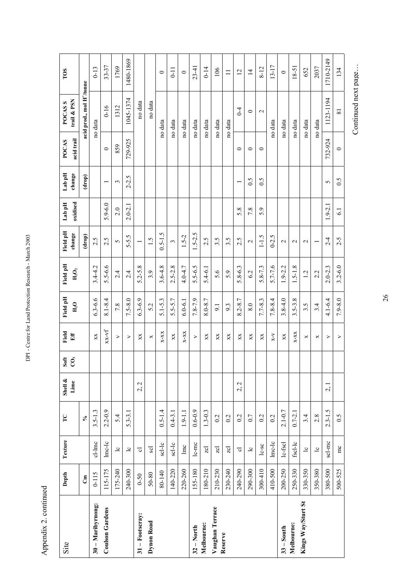Appendix 2. continued Appendix 2. continued

DPI - Centre for Land Protection Research - March 2003

DPI - Centre for Land Protection Research - March 2003

| Site                   | Depth       | Texture                 | $\Gamma$                | Shell $\&$<br>Lime    | Soft<br>$\tilde{c}$ | Field<br>Eff           | Field pH<br>H <sub>2</sub> O | Field pH<br>$H_2O_2$ | Field pH<br>change | oxidised<br>Lab pH | Lab pH<br>change | acid trail<br><b>POCAS</b> | trail & PSN<br><b>POCASS</b>          | TOS            |
|------------------------|-------------|-------------------------|-------------------------|-----------------------|---------------------|------------------------|------------------------------|----------------------|--------------------|--------------------|------------------|----------------------------|---------------------------------------|----------------|
|                        | $\tilde{c}$ |                         | $\mathcal{S}_{\bullet}$ |                       |                     |                        |                              |                      | (drop)             |                    | (drop)           |                            | acid prod., mol H <sup>+</sup> /tonne |                |
| 30 - Maribyrnong:      | $0 - 115$   | $cl$ - $lmc$            | $3.5 - 1.3$             |                       |                     | XX                     | $6.3 - 6.6$                  | $3.4 - 4.2$          | 2.5                |                    |                  |                            | no data                               | $0 - 13$       |
| <b>Coulson Gardens</b> | 115-175     | $lmc-lc$                | $2.2 - 0.9$             |                       |                     | $XX-VI$                | $8.1 - 8.4$                  | $5.5 - 6.6$          | 2.5                | $5.9 - 6.0$        |                  | $\circ$                    | $0 - 16$                              | 33-37          |
|                        | 175-240     | $\overline{\mathbf{c}}$ | 5.4                     |                       |                     | ⋗                      | 7.8                          | $\overline{2.4}$     | 5                  | 2.0                | 3                | 859                        | 1312                                  | 1769           |
|                        | 240-300     | $\overline{c}$          | $5.3 - 3.1$             |                       |                     | ⋗                      | $7.5 - 8.0$                  | 2.4                  | $5 - 5.5$          | $2.0 - 2.1$        | $2 - 2.5$        | 729-925                    | 1045-1374                             | 1480-1869      |
| $31 -$ Footscray:      | $0 - 50$    | ್ರ                      |                         | $\mathbf 2$<br>$\sim$ |                     | XX                     | $6.3 - 6.9$                  | $5.2 - 5.8$          |                    |                    |                  |                            | no data                               |                |
| Dynon Road             | 50-80       | <b>Scl</b>              |                         |                       |                     | ×                      | 5.2                          | 3.9                  | $\overline{1.5}$   |                    |                  |                            | no data                               |                |
|                        | 80-140      | scl-lc                  | $0.5 - 1.4$             |                       |                     | $X-XX$                 | $5.1 - 5.3$                  | $3.6 - 4.8$          | $0.5 - 1.5$        |                    |                  |                            | no data                               | $\circ$        |
|                        | 140-220     | $scl-Ic$                | $0.4 - 3.1$             |                       |                     | XX                     | $5.5 - 5.7$                  | $2.5 - 2.8$          | $\sim$             |                    |                  |                            | no data                               | $0 - 11$       |
|                        | 220-260     | lmc                     | $1.9 - 1.1$             |                       |                     | $X-XX$                 | $6.0 - 6.1$                  | 4.0-4.7              | $1.5 - 2$          |                    |                  |                            | no data                               | $\circ$        |
| $32 - North$           | 155-180     | $l_{c-mc}$              | $0.6 - 0.9$             |                       |                     | $\geq$                 | $7.8 - 7.9$                  | $5.5 - 6.5$          | $1.5 - 2.5$        |                    |                  |                            | no data                               | $23-41$        |
| Melbourne:             | 180-210     | $\overline{z}$ cl       | $1.3 - 0.3$             |                       |                     | XX                     | 8.0-8.7                      | $5.4 - 6.1$          | 2.5                |                    |                  |                            | no data                               | $0 - 14$       |
| Vaughan Terrace        | 210-230     | $\overline{z}$ cl       | 0.2                     |                       |                     | XX                     | 9.1                          | 5.6                  | 3.5                |                    |                  |                            | no data                               | 106            |
| Reserve                | 230-240     | $\overline{z}$ cl       | 0.2                     |                       |                     | XX                     | 9.3                          | 5.9                  | 3.5                |                    |                  |                            | no data                               | $\equiv$       |
|                        | 240-290     | $\overline{\circ}$      | 0.2                     | $\sim$<br>$\sim$      |                     | $\mathbf{X}\mathbf{X}$ | $8.2 - 8.7$                  | $5.8 - 6.3$          | 2.5                | 5.8                |                  | $\circ$                    | $0 - 4$                               | $\overline{c}$ |
|                        | 290-300     | $\overline{c}$          | 0.7                     |                       |                     | XX                     | 8.0                          | 6.2                  | $\mathbf{\sim}$    | 7.8                | 0.5              | $\circ$                    | $\circ$                               | $\overline{4}$ |
|                        | 300-410     | $lc$ -sc                | 0.2                     |                       |                     | XX                     | $7.7 - 8.3$                  | $5.8 - 7.3$          | $-1.5$             | 5.9                | 0.5              | $\circ$                    | $\mathbf{\sim}$                       | $8 - 12$       |
|                        | 410-500     | $lnc$ - $lc$            | 0.2                     |                       |                     | $X-Y$                  | $7.8 - 8.4$                  | $5.7 - 7.6$          | $0 - 2.5$          |                    |                  |                            | no data                               | $13 - 17$      |
| $33 - South$           | 200-250     | $lc$ -fscl              | $2.1 - 0.7$             |                       |                     | XX                     | $3.8 - 4.0$                  | 1.9-2.2              | $\mathbf{\sim}$    |                    |                  |                            | no data                               | $\circ$        |
| Melbourne:             | 250-330     | fscl-lc                 | $0.7 - 2.1$             |                       |                     | $X-XX$                 | $3.5 - 3.8$                  | $1.5 - 1.8$          | $\mathbf{\sim}$    |                    |                  |                            | no data                               | 18-51          |
| Kings Way/Sturt St     | 330-350     | $\overline{c}$          | 3.4                     |                       |                     | ×                      | Ν.<br>2.                     | $\frac{1}{2}$        | $\mathbf{\sim}$    |                    |                  |                            | no data                               | 652            |
|                        | 350-380     | $\overline{c}$          | 2.8                     |                       |                     | ×                      | 3.4                          | 2.2                  |                    |                    |                  |                            | no data                               | 2037           |
|                        | 380-500     | scl-mc                  | $2.3 - 1.5$             | 2, 1                  |                     | ⋗                      | $4.1 - 6.4$                  | $2.0 - 2.3$          | $2 - 4$            | $1.9 - 2.1$        | 5                | 732-924                    | 1123-1194                             | 1710-2149      |
|                        | 500-525     | $\mathbf{m}$            | 0.5                     |                       |                     | $\geq$                 | $7.9 - 8.0$                  | $3.2 - 6.0$          | $2 - 5$            | $\overline{61}$    | 0.5              | $\circ$                    | $\overline{81}$                       | 134            |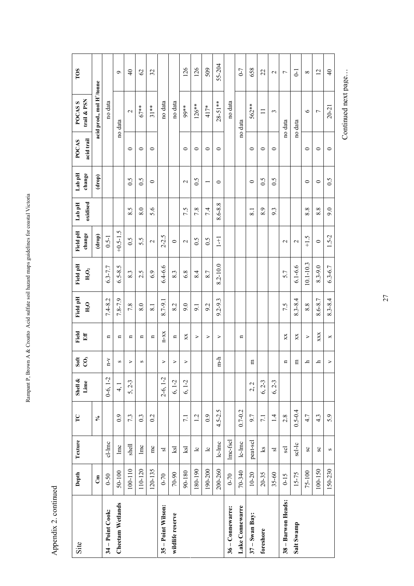| Site               | Depth       | Texture        | $\Gamma$                   | Shell &<br>Lime | Soft<br>$\overline{c}$ | Field<br>Eff     | Field pH<br>$\rm H_2O$ | Field pH<br>$H_2O_2$ | Field pH<br>change | oxidised<br>Lab pH | Lab pH<br>change | acid trail<br>POCAS | trail & PSN<br>POCAS <sub>S</sub>     | TOS             |
|--------------------|-------------|----------------|----------------------------|-----------------|------------------------|------------------|------------------------|----------------------|--------------------|--------------------|------------------|---------------------|---------------------------------------|-----------------|
|                    | $\tilde{c}$ |                | $\mathcal{S}_{\mathbf{0}}$ |                 |                        |                  |                        |                      | (drop)             |                    | (drop)           |                     | acid prod., mol H <sup>+</sup> /tonne |                 |
| 34 – Point Cook:   | $0 - 50$    | cl-lmc         |                            | $0-6, 1-2$      | $V$ -U                 | n                | $7.4 - 8.2$            | $6.3 - 7.7$          | $0.5 - 1$          |                    |                  |                     | no data                               |                 |
| Cheetam Wetlands   | 50-100      | $\ln c$        | 0.9                        | 4, 1            | S                      | n                | 7.8-7.9                | $6.5 - 8.5$          | $+0.5 - 1.5$       |                    |                  |                     | no data                               | $\sigma$        |
|                    | 100-110     | $_{\rm shell}$ | 7.3                        | $5, 2-3$        | ⋗                      | $\blacksquare$   | 7.8                    | 8.3                  | 0.5                | 8.5                | 0.5              | $\circ$             | $\mathbf{C}$                          | $\Theta$        |
|                    | 110-120     | lmc            | $0.\overline{3}$           |                 | S                      | n                | 8.0                    | 2.5                  | 5.5                | 8.0                | 0.5              | $\circ$             | $67**$                                | $\mathcal{O}$   |
|                    | 120-135     | mc             | 0.2                        |                 |                        | Ξ                | $\overline{81}$        | 6.9                  | $\mathcal{L}$      | 5.6                | $\circ$          | $\circ$             | $31**$                                | 32              |
| 35 - Point Wilson: | $0 - 70$    | 2              |                            | $2-6, 1-2$      | >                      | $n-xx$           | 8.7-9.1                | $6.4 - 6.6$          | $2 - 2.5$          |                    |                  |                     | no data                               |                 |
| wildlife reserve   | 70-90       | ksl            |                            | $6, 1-2$        | $\geq$                 | $\mathbf{u}$     | 8.2                    | 8.3                  | $\circ$            |                    |                  |                     | no data                               |                 |
|                    | 90-180      | ksl            | 7.1                        | $6, 1-2$        | $\triangleright$       | XX               | 9.0                    | 6.8                  | $\mathbf{\sim}$    | 7.5                | $\mathbf{\sim}$  | $\circ$             | 99**                                  | 126             |
|                    | 180-190     | $\overline{c}$ | $\overline{1}$ .           |                 |                        | >                | 9.1                    | 8.4                  | 0.5                | 7.8                | 0.5              | $\circ$             | $126**$                               | 126             |
|                    | 190-200     | $\overline{c}$ | 0.9                        |                 |                        | ⋗                | 9.2                    | 8.7                  | 0.5                | 7.4                |                  | $\circ$             | 417*                                  | 509             |
|                    | 200-260     | $lc$ - $lmc$   | $4.5 - 2.5$                |                 | n-h                    | ⋗                | $9.2 - 9.3$            | 8.2-10.0             | $\overline{1}$     | 8.6-8.8            | $\circ$          | $\circ$             | $28 - 51**$                           | 55-204          |
| 36-Connewarre:     | $0 - 70$    | Imc-fscl       |                            |                 |                        |                  |                        |                      |                    |                    |                  |                     | no data                               |                 |
| Lake Connewarre    | 70-340      | $lc$ - $lmc$   | $0.7 - 0.2$                |                 |                        | n                |                        |                      |                    |                    |                  |                     | no data                               | $0 - 7$         |
| $37 - Swan Bay:$   | $10 - 20$   | peat-scl       | 9.7                        | 2, 2            | E                      |                  |                        |                      |                    | 8.1                | $\circ$          | $\circ$             | 562**                                 | 658             |
| foreshore          | $20 - 35$   | $^{2}$         | $\overline{7.1}$           | $6, 2-3$        |                        |                  |                        |                      |                    | ۰<br>∞ं            | 0.5              | $\circ$             | $\equiv$                              | 22              |
|                    | 35-60       | $\overline{s}$ | $\overline{14}$            | $6, 2-3$        |                        |                  |                        |                      |                    | 9.3                | 0.5              | $\circ$             | 3                                     | $\mathbf{\sim}$ |
| 38 - Barwon Heads: | $0 - 15$    | Scl            | 2.8                        |                 | $\mathbf{u}$           | XX               | 7.5                    | 5.7                  | $\mathbf{\sim}$    |                    |                  |                     | no data                               | $\overline{ }$  |
| Salt Swamp         | $15 - 75$   | $scl-lc$       | $0.5 - 0.4$                |                 | 日                      | XX               | $8.3 - 8.4$            | $6.1 - 6.6$          | $\mathbf{\Omega}$  |                    |                  |                     | no data                               | $\overline{c}$  |
|                    | 75-100      | $_{\rm sc}$    | 4.7                        |                 | 드                      | $\triangleright$ | 8.8                    | $10.1 - 10.3$        | $-1.5$             | 8.8                | $\circ$          | $\circ$             | $\circ$                               | $\infty$        |
|                    | 100-150     | $_{\rm{SC}}$   | $4.\overline{3}$           |                 | h,                     | XXX              | 8.6-8.7                | $8.3 - 9.0$          | $\circ$            | 8.8                | $\circ$          | $\circ$             | $\overline{ }$                        | $\overline{c}$  |
|                    | 150-230     | S              | 5.9                        |                 | $\triangleright$       | ×                | $8.3 - 8.4$            | $6.3 - 6.7$          | $1.5 - 2$          | 9.0                | 0.5              | $\circ$             | $20 - 21$                             | $\overline{4}$  |

Rampant P, Brown A & Croatto Acid sulfate soil hazard maps guidelines for coastal Victoria Rampant P, Brown A & Croatto Acid sulfate soil hazard maps guidelines for coastal Victoria

> Appendix 2. continued Appendix 2. continued

Continued next page... Continued next page...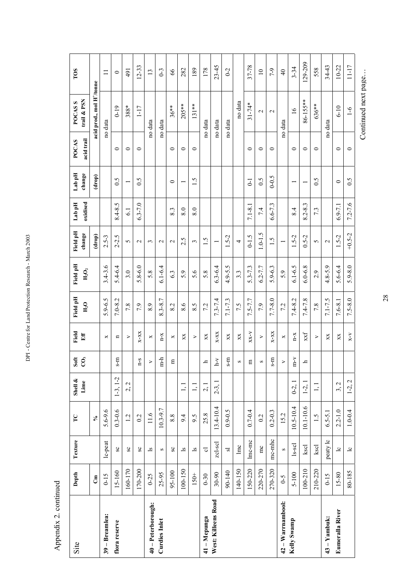|                      |              |                         | $\Gamma$                   |                                 |                        | Field                              |                    |                      |                    |                    |                   | <b>POCAS</b> | <b>POCASS</b>                         | TOS             |
|----------------------|--------------|-------------------------|----------------------------|---------------------------------|------------------------|------------------------------------|--------------------|----------------------|--------------------|--------------------|-------------------|--------------|---------------------------------------|-----------------|
| Site                 | Depth        | Texture                 |                            | Shell &<br>Linne                | Soft<br>$\overline{c}$ | Eff                                | Field pH<br>$H_2O$ | Field pH<br>$H_2O_2$ | Field pH<br>change | oxidised<br>Lab pH | Lab pH<br>change  | acid trail   | trail & PSN                           |                 |
|                      | $\mathbf{E}$ |                         | $\mathcal{S}_{\mathbf{0}}$ |                                 |                        |                                    |                    |                      | (drop)             |                    | (drop)            |              | acid prod., mol H <sup>+</sup> /tonne |                 |
| 39 - Breamlea:       | $0 - 15$     | $lc$ -peat              | $5.6 - 9.6$                |                                 |                        | ×                                  | $5.9 - 6.5$        | $3.4 - 3.6$          | $2.5 - 3$          |                    |                   |              | no data                               | $\equiv$        |
| flora reserve        | 15-160       | $_{\rm{SC}}$            | $0.3 - 0.6$                | $1-3, 1-2$                      | Ę<br>S                 | n                                  | $7.0 - 8.2$        | $5.4 - 6.4$          | $2 - 2.5$          | 8.4-8.5            | 0.5               | $\circ$      | $0 - 19$                              | $\circ$         |
|                      | 160-170      | $_{\rm{SC}}$            | 1.2                        | 2, 2                            |                        | ⋗                                  | 7.8                | 3.0                  | 5                  | $\overline{61}$    |                   | $\circ$      | 388*                                  | 491             |
|                      | 170-200      | $_{\rm sc}$             | 0.2                        |                                 | $S - D$                | $X-XX$                             | 7.9                | $5.8 - 6.0$          | $\sim$             | $6.3 - 7.0$        | 0.5               | $\circ$      | $1-17$                                | $12 - 33$       |
| 40 - Peterborough:   | $0 - 25$     | $\overline{\mathbf{s}}$ | 11.6                       |                                 | $\geq$                 | ×                                  | 8.9                | 5.8                  | 3                  |                    |                   |              | no data                               | $\overline{13}$ |
| <b>Curdies Inlet</b> | 25-95        | $\boldsymbol{\Omega}$   | $10.3 - 9.7$               |                                 | $m-h$                  | $n - x$                            | $8.3 - 8.7$        | $6.1 - 6.4$          | $\mathbf{\sim}$    |                    |                   |              | no data                               | $0-3$           |
|                      | 95-100       | $_{\rm{SC}}$            | 8.8                        |                                 | $\Xi$                  | ×                                  | 8.2                | 6.3                  | $\mathbf{\sim}$    | 8.3                | $\circ$           | $\circ$      | $36**$                                | 89              |
|                      | 100-150      | $\overline{\mathbf{s}}$ | 9.4                        | 1, 1                            |                        | XX                                 | $\circ$<br>∞ं      | 5.9                  | 2.5                | 8.0                |                   | $\circ$      | $205**$                               | 282             |
|                      | $150+$       | $\overline{\mathbf{s}}$ | 9.5                        | $\overline{1}$ , $\overline{1}$ |                        | $\blacktriangleright$              | 5<br>∞ं            | $\circ$<br>n         | 3                  | 8.0                | $\frac{5}{1}$     | $\circ$      | $131**$                               | 189             |
| 41 - Mepunga         | $0 - 30$     | ಕ                       | 25.8                       | 2, 1                            | $\mathbf{p}$           | XX                                 | 7.2                | 5.8                  | $\frac{1}{5}$      |                    |                   |              | no data                               | 178             |
| West: Killeens Road  | $30 - 90$    | zcl-scl                 | $13.4 - 10.4$              | $2-3,$                          | $\lambda$ -q           | $X-XX$                             | $7.3 - 7.4$        | $6.3 - 6.4$          |                    |                    |                   |              | no data                               | $23 - 45$       |
|                      | 90-140       | $\overline{\mathbf{s}}$ | $0.9 - 0.5$                |                                 | $m-s$                  | XX                                 | $7.1 - 7.3$        | $4.9 - 5.5$          | $1.5 - 2$          |                    |                   |              | no data                               | $0 - 2$         |
|                      | 140-150      | $\ln c$                 |                            |                                 | S                      | XX                                 | 7.5                | $3.\overline{3}$     | 4                  |                    |                   |              | no data                               |                 |
|                      | 150-220      | lmc-mc                  | $0.7 - 0.4$                |                                 | $\Xi$                  | $X-X-X$                            | $7.5 - 7.7$        | 5.3-7.3              | $0 - 1.5$          | $7.1 - 8.1$        | $\overline{C}$    | $\circ$      | $31 - 74*$                            | 37-78           |
|                      | 220-270      | $rac{1}{2}$             | 0.2                        |                                 | S                      | $\geq$                             | 7.9                | $6.2 - 7.7$          | $1.0 - 1.5$        | 7.4                | $\widetilde{0}$ . | $\circ$      | $\mathbf{\sim}$                       | $\overline{10}$ |
|                      | 270-320      | mc-mhc                  | $0.2 - 0.3$                |                                 | $m-s$                  | $X-XX$                             | $7.7 - 8.0$        | $5.9 - 6.3$          | $\frac{1}{5}$      | $6.6 - 7.3$        | $0 - 0.5$         | $\circ$      | $\mathbf{\sim}$                       | 7-9             |
| 42 – Warrnambool:    | $6 - 5$      | $\infty$                | 15.2                       |                                 | $\geq$                 | ×                                  | 7.2                | 5.9                  |                    |                    |                   |              | no data                               | $\overline{4}$  |
| Kelly Swamp          | 5-100        | ls-scl                  | $10.5 - 10.4$              | $0-2, 1$                        | $m - v$                | $n - x$                            | $7.4 - 8.2$        | $6.1 - 6.5$          | $1.5 - 2$          | 8.4                |                   | $\circ$      | $\geq$                                | $3 - 34$        |
|                      | 100-210      | kscl                    | $10.1 - 10.6$              | $1-2, 1$                        | $\mathbf{r}$           | $\mathbf{x} \mathbf{x} \mathbf{f}$ | $7.4 - 7.8$        | $6.0 - 6.8$          | $0.5 - 2$          | S<br>$8.2 - 8.$    |                   | $\circ$      | 86-155**                              | $129 - 209$     |
|                      | 210-220      | kscl                    | $\ddot{5}$                 | 1, 1                            |                        | ⋗                                  | 7.8                | 2.9                  | 5                  | 7.3                | 0.5               | $\circ$      | 636**                                 | 558             |
| $43 - Yambuk:$       | $0 - 15$     | peaty lc                | $6.5 - 5.1$                |                                 |                        | XX                                 | $7.1 - 7.5$        | $4.8 - 5.9$          | $\mathbf{\sim}$    |                    |                   |              | no data                               | 34-43           |
| Eumeralla River      | $15 - 80$    | $\overline{c}$          | $2.2 - 1.0$                | 3, 2                            |                        | $\mathbf{X} \mathbf{X}$            | $7.6 - 8.1$        | $5.6 - 6.4$          | $1.5 - 2$          | $6.9 - 7.1$        | $\circ$           | $\circ$      | $6-10$                                | $10 - 22$       |
|                      | 80-185       | $\overline{c}$          | $1.0 - 0.4$                | $1-2, 2$                        |                        | $X-Y$                              | $7.5 - 8.0$        | $5.9 - 8.0$          | $+0.5 - 2$         | $7.2 - 7.6$        | 0.5               | $\circ$      | $6 - 1$                               | $11 - 17$       |

DPI - Centre for Land Protection Research - March 2003 DPI - Centre for Land Protection Research - March 2003

Appendix 2. continued Appendix 2. continued

28

Continued next page... Continued next page...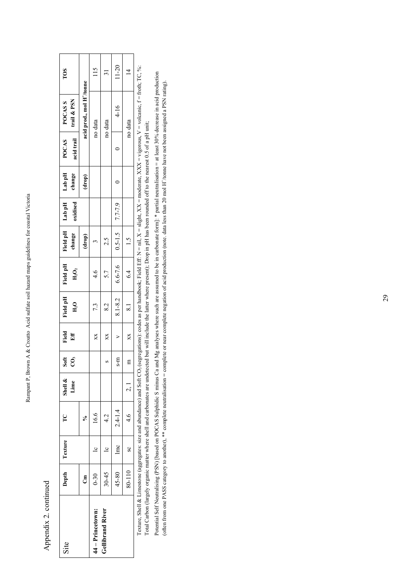| i                       |
|-------------------------|
| l                       |
|                         |
|                         |
| į<br><b>SACARE</b><br>l |
| I                       |
|                         |
| l                       |
| l<br>J                  |
|                         |
|                         |
|                         |
| I<br>l<br>l<br>į<br>I   |

Appendix 2. continued Appendix 2. continued

| TOS                                 |                                       | 115              |                         | $11 - 20$                       |                 |
|-------------------------------------|---------------------------------------|------------------|-------------------------|---------------------------------|-----------------|
| trail & PSN<br><b>POCASS</b>        | acid prod., mol H <sup>+</sup> /tonne | no data          | no data                 | $4 - 16$                        | no data         |
| POCAS<br>acid trail                 |                                       |                  |                         |                                 |                 |
| Field pH   Lab pH   Lab pH   change | (drop)                                |                  |                         | $\overline{\phantom{0}}$        |                 |
| oxidised                            |                                       |                  |                         |                                 |                 |
|                                     | (drop)                                |                  | 2.5                     |                                 | $\frac{1.5}{1}$ |
| Field pH<br>${\rm H}_2{\rm O}_2$    |                                       | $\frac{4.6}{4}$  | 5.7                     | 8.1-8.2 6.6-7.6 0.5-1.5 7.7-7.9 | 4.              |
| Field pH<br>$\rm H_2O$              |                                       | 7.3              | 8.2                     |                                 | $\frac{81}{2}$  |
| Field<br>Eff                        |                                       | XX               | X                       | $\overline{a}$                  | $\times$        |
| Soft<br>CO,                         |                                       |                  |                         | $s-m$                           | E               |
| Shell &<br>Lime                     |                                       |                  |                         |                                 | $\frac{2}{3}$   |
| TC<br>T                             | Š                                     | 16.6             | 4.2                     | $2.4 - 1.4$                     | $\frac{4.6}{2}$ |
| Depth   Texture                     |                                       | $\overline{c}$   |                         | $\ln c$                         | $\frac{1}{2}$   |
|                                     | ථ්                                    | $0 - 30$         | $30 - 45$               | 45-80                           | 80-110          |
| Site                                |                                       | 14 - Princetown: | <b>Gellibrand River</b> |                                 |                 |

Texture, Shell & Limestone (aggregates: size and abundance) and Soft CO<sub>3</sub> (segregations): codes as per handbook; Field Eff: N = nil, X = slight, XX = moderate, XXX = vigorous, V = volcanic, f = froth; TC, %:<br>Total Carbon Texture, Shell & Limestone (aggregates: size and abundance) and Soft CO3 (segregations): codes as per handbook; Field Eff: N = nil, X = slight, XX = moderate, XXX = vigorous, V = volcanic, f = froth; TC, %: Total Carbon (largely organic matter where shell and carbonates are undetected but will include the latter where present); Drop in pH has been rounded off to the nearest 0.5 of a pH unit;

Potential Self Neutralising (PSN) [based on POCAS Sulphidic S minus Ca and Mg analyses where such are assumed to be in carbonate form]: \* partial neutralisation = at least 30% decrease in acid production<br>(often from one PA Potential Self Neutralising (PSN) [based on POCAS Sulphidic S minus Ca and Mg analyses where such are assumed to be in carbonate form]: \* partial neutralisation = at least 30% decrease in acid production (often from one PASS category to another), \*\* complete neutralisation = complete or near complete negation of acid production (note. data less than 20 mol H+/tonne have not been assigned a PSN rating).